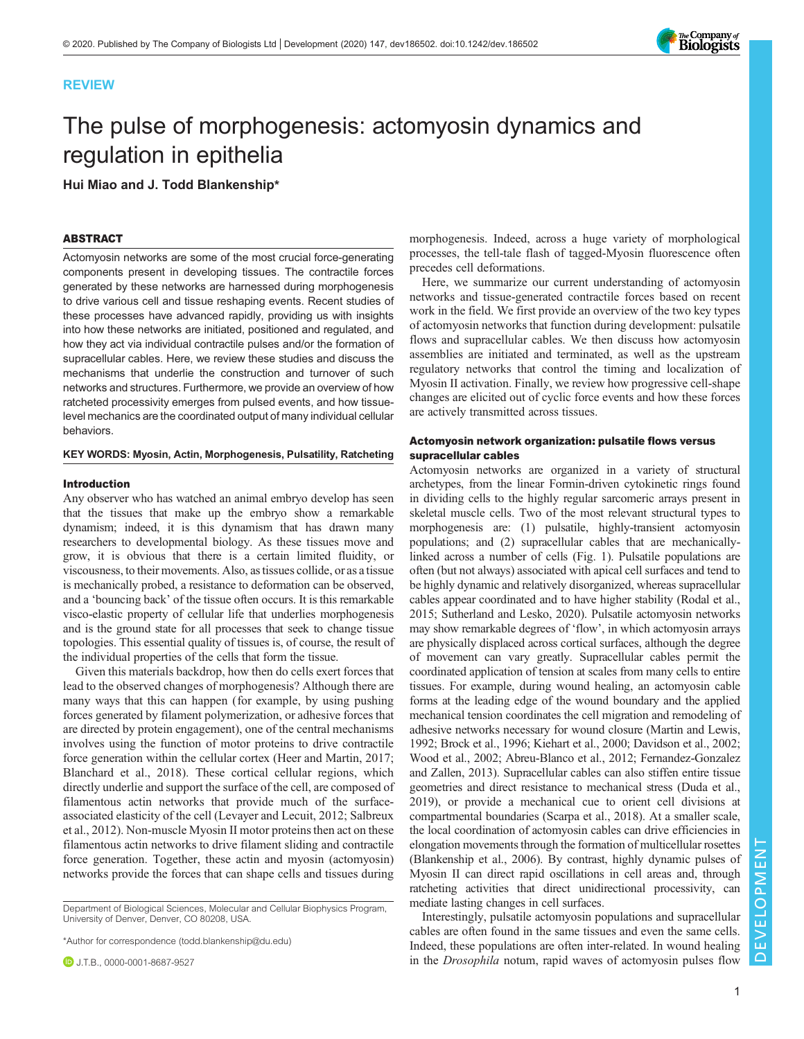# REVIEW

# The pulse of morphogenesis: actomyosin dynamics and regulation in epithelia

Hui Miao and J. Todd Blankenship\*

## ABSTRACT

Actomyosin networks are some of the most crucial force-generating components present in developing tissues. The contractile forces generated by these networks are harnessed during morphogenesis to drive various cell and tissue reshaping events. Recent studies of these processes have advanced rapidly, providing us with insights into how these networks are initiated, positioned and regulated, and how they act via individual contractile pulses and/or the formation of supracellular cables. Here, we review these studies and discuss the mechanisms that underlie the construction and turnover of such networks and structures. Furthermore, we provide an overview of how ratcheted processivity emerges from pulsed events, and how tissuelevel mechanics are the coordinated output of many individual cellular behaviors.

#### KEY WORDS: Myosin, Actin, Morphogenesis, Pulsatility, Ratcheting

#### Introduction

Any observer who has watched an animal embryo develop has seen that the tissues that make up the embryo show a remarkable dynamism; indeed, it is this dynamism that has drawn many researchers to developmental biology. As these tissues move and grow, it is obvious that there is a certain limited fluidity, or viscousness, to their movements. Also, as tissues collide, or as a tissue is mechanically probed, a resistance to deformation can be observed, and a 'bouncing back' of the tissue often occurs. It is this remarkable visco-elastic property of cellular life that underlies morphogenesis and is the ground state for all processes that seek to change tissue topologies. This essential quality of tissues is, of course, the result of the individual properties of the cells that form the tissue.

Given this materials backdrop, how then do cells exert forces that lead to the observed changes of morphogenesis? Although there are many ways that this can happen (for example, by using pushing forces generated by filament polymerization, or adhesive forces that are directed by protein engagement), one of the central mechanisms involves using the function of motor proteins to drive contractile force generation within the cellular cortex [\(Heer and Martin, 2017](#page-9-0); [Blanchard et al., 2018\)](#page-8-0). These cortical cellular regions, which directly underlie and support the surface of the cell, are composed of filamentous actin networks that provide much of the surfaceassociated elasticity of the cell [\(Levayer and Lecuit, 2012; Salbreux](#page-9-0) [et al., 2012\)](#page-9-0). Non-muscle Myosin II motor proteins then act on these filamentous actin networks to drive filament sliding and contractile force generation. Together, these actin and myosin (actomyosin) networks provide the forces that can shape cells and tissues during

\*Author for correspondence [\(todd.blankenship@du.edu\)](mailto:todd.blankenship@du.edu)

morphogenesis. Indeed, across a huge variety of morphological processes, the tell-tale flash of tagged-Myosin fluorescence often precedes cell deformations.

Here, we summarize our current understanding of actomyosin networks and tissue-generated contractile forces based on recent work in the field. We first provide an overview of the two key types of actomyosin networks that function during development: pulsatile flows and supracellular cables. We then discuss how actomyosin assemblies are initiated and terminated, as well as the upstream regulatory networks that control the timing and localization of Myosin II activation. Finally, we review how progressive cell-shape changes are elicited out of cyclic force events and how these forces are actively transmitted across tissues.

## Actomyosin network organization: pulsatile flows versus supracellular cables

Actomyosin networks are organized in a variety of structural archetypes, from the linear Formin-driven cytokinetic rings found in dividing cells to the highly regular sarcomeric arrays present in skeletal muscle cells. Two of the most relevant structural types to morphogenesis are: (1) pulsatile, highly-transient actomyosin populations; and (2) supracellular cables that are mechanicallylinked across a number of cells [\(Fig. 1](#page-1-0)). Pulsatile populations are often (but not always) associated with apical cell surfaces and tend to be highly dynamic and relatively disorganized, whereas supracellular cables appear coordinated and to have higher stability ([Rodal et al.,](#page-9-0) [2015;](#page-9-0) [Sutherland and Lesko, 2020](#page-10-0)). Pulsatile actomyosin networks may show remarkable degrees of 'flow', in which actomyosin arrays are physically displaced across cortical surfaces, although the degree of movement can vary greatly. Supracellular cables permit the coordinated application of tension at scales from many cells to entire tissues. For example, during wound healing, an actomyosin cable forms at the leading edge of the wound boundary and the applied mechanical tension coordinates the cell migration and remodeling of adhesive networks necessary for wound closure [\(Martin and Lewis,](#page-9-0) [1992;](#page-9-0) [Brock et al., 1996](#page-8-0); [Kiehart et al., 2000;](#page-9-0) [Davidson et al., 2002](#page-8-0); [Wood et al., 2002;](#page-10-0) [Abreu-Blanco et al., 2012](#page-8-0); [Fernandez-Gonzalez](#page-8-0) [and Zallen, 2013](#page-8-0)). Supracellular cables can also stiffen entire tissue geometries and direct resistance to mechanical stress ([Duda et al.,](#page-8-0) [2019\)](#page-8-0), or provide a mechanical cue to orient cell divisions at compartmental boundaries [\(Scarpa et al., 2018](#page-9-0)). At a smaller scale, the local coordination of actomyosin cables can drive efficiencies in elongation movements through the formation of multicellular rosettes [\(Blankenship et al., 2006](#page-8-0)). By contrast, highly dynamic pulses of Myosin II can direct rapid oscillations in cell areas and, through ratcheting activities that direct unidirectional processivity, can mediate lasting changes in cell surfaces.

Interestingly, pulsatile actomyosin populations and supracellular cables are often found in the same tissues and even the same cells. Indeed, these populations are often inter-related. In wound healing in the Drosophila notum, rapid waves of actomyosin pulses flow



Department of Biological Sciences, Molecular and Cellular Biophysics Program, University of Denver, Denver, CO 80208, USA.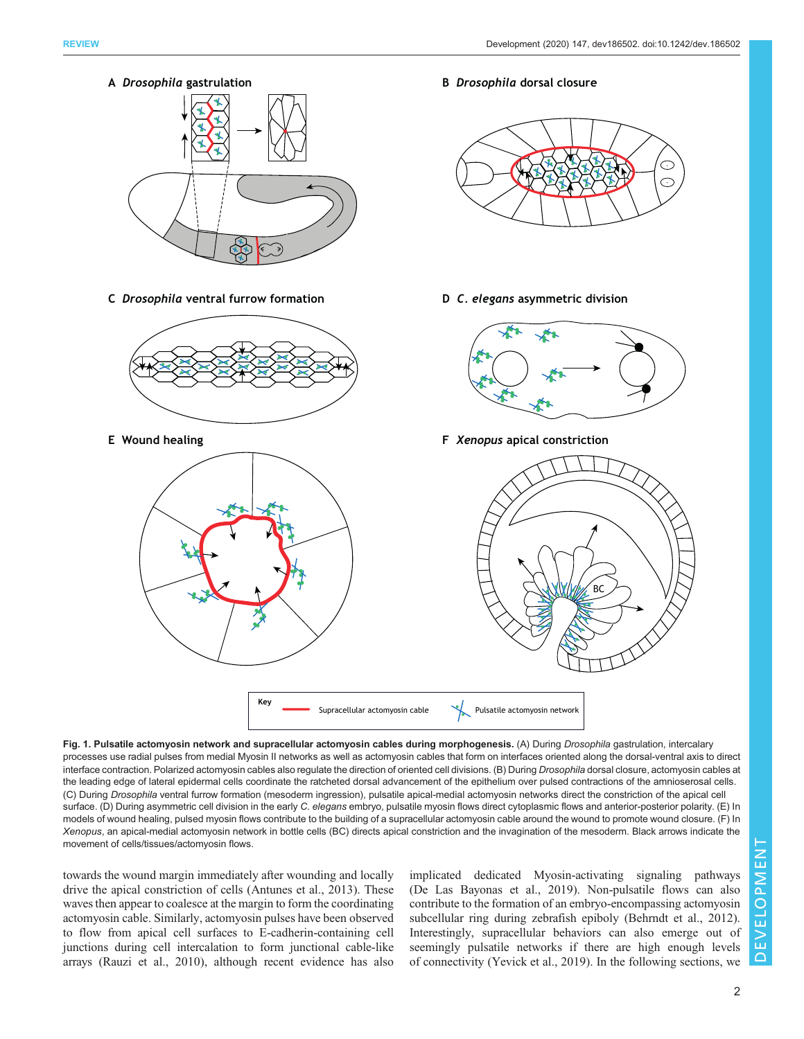<span id="page-1-0"></span>

Fig. 1. Pulsatile actomyosin network and supracellular actomyosin cables during morphogenesis. (A) During Drosophila gastrulation, intercalary processes use radial pulses from medial Myosin II networks as well as actomyosin cables that form on interfaces oriented along the dorsal-ventral axis to direct interface contraction. Polarized actomyosin cables also regulate the direction of oriented cell divisions. (B) During Drosophila dorsal closure, actomyosin cables at the leading edge of lateral epidermal cells coordinate the ratcheted dorsal advancement of the epithelium over pulsed contractions of the amnioserosal cells. (C) During Drosophila ventral furrow formation (mesoderm ingression), pulsatile apical-medial actomyosin networks direct the constriction of the apical cell surface. (D) During asymmetric cell division in the early C. elegans embryo, pulsatile myosin flows direct cytoplasmic flows and anterior-posterior polarity. (E) In models of wound healing, pulsed myosin flows contribute to the building of a supracellular actomyosin cable around the wound to promote wound closure. (F) In Xenopus, an apical-medial actomyosin network in bottle cells (BC) directs apical constriction and the invagination of the mesoderm. Black arrows indicate the movement of cells/tissues/actomyosin flows.

towards the wound margin immediately after wounding and locally drive the apical constriction of cells [\(Antunes et al., 2013](#page-8-0)). These waves then appear to coalesce at the margin to form the coordinating actomyosin cable. Similarly, actomyosin pulses have been observed to flow from apical cell surfaces to E-cadherin-containing cell junctions during cell intercalation to form junctional cable-like arrays [\(Rauzi et al., 2010\)](#page-9-0), although recent evidence has also implicated dedicated Myosin-activating signaling pathways [\(De Las Bayonas et al., 2019\)](#page-8-0). Non-pulsatile flows can also contribute to the formation of an embryo-encompassing actomyosin subcellular ring during zebrafish epiboly ([Behrndt et al., 2012\)](#page-8-0). Interestingly, supracellular behaviors can also emerge out of seemingly pulsatile networks if there are high enough levels of connectivity ([Yevick et al., 2019](#page-10-0)). In the following sections, we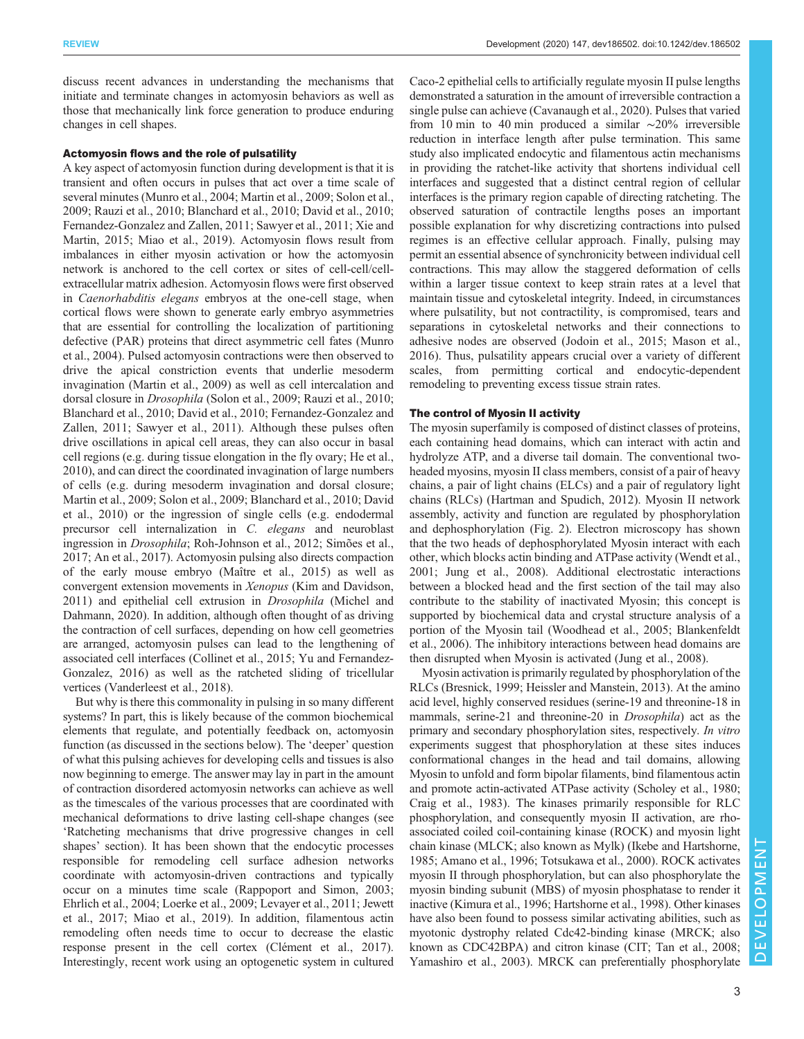discuss recent advances in understanding the mechanisms that initiate and terminate changes in actomyosin behaviors as well as those that mechanically link force generation to produce enduring changes in cell shapes.

#### Actomyosin flows and the role of pulsatility

A key aspect of actomyosin function during development is that it is transient and often occurs in pulses that act over a time scale of several minutes ([Munro et al., 2004; Martin et al., 2009;](#page-9-0) [Solon et al.,](#page-10-0) [2009](#page-10-0); [Rauzi et al., 2010;](#page-9-0) [Blanchard et al., 2010; David et al., 2010](#page-8-0); [Fernandez-Gonzalez and Zallen, 2011;](#page-8-0) [Sawyer et al., 2011](#page-9-0); [Xie and](#page-10-0) [Martin, 2015;](#page-10-0) [Miao et al., 2019\)](#page-9-0). Actomyosin flows result from imbalances in either myosin activation or how the actomyosin network is anchored to the cell cortex or sites of cell-cell/cellextracellular matrix adhesion. Actomyosin flows were first observed in Caenorhabditis elegans embryos at the one-cell stage, when cortical flows were shown to generate early embryo asymmetries that are essential for controlling the localization of partitioning defective (PAR) proteins that direct asymmetric cell fates [\(Munro](#page-9-0) [et al., 2004\)](#page-9-0). Pulsed actomyosin contractions were then observed to drive the apical constriction events that underlie mesoderm invagination [\(Martin et al., 2009](#page-9-0)) as well as cell intercalation and dorsal closure in Drosophila [\(Solon et al., 2009](#page-10-0); [Rauzi et al., 2010](#page-9-0); [Blanchard et al., 2010](#page-8-0); [David et al., 2010; Fernandez-Gonzalez and](#page-8-0) [Zallen, 2011](#page-8-0); [Sawyer et al., 2011\)](#page-9-0). Although these pulses often drive oscillations in apical cell areas, they can also occur in basal cell regions (e.g. during tissue elongation in the fly ovary; [He et al.,](#page-8-0) [2010](#page-8-0)), and can direct the coordinated invagination of large numbers of cells (e.g. during mesoderm invagination and dorsal closure; [Martin et al., 2009;](#page-9-0) [Solon et al., 2009](#page-10-0); [Blanchard et al., 2010; David](#page-8-0) [et al., 2010](#page-8-0)) or the ingression of single cells (e.g. endodermal precursor cell internalization in C. elegans and neuroblast ingression in Drosophila; [Roh-Johnson et al., 2012](#page-9-0); [Simões et al.,](#page-10-0) [2017](#page-10-0); [An et al., 2017\)](#page-8-0). Actomyosin pulsing also directs compaction of the early mouse embryo [\(Maître et al., 2015\)](#page-9-0) as well as convergent extension movements in Xenopus ([Kim and Davidson,](#page-9-0) [2011](#page-9-0)) and epithelial cell extrusion in Drosophila ([Michel and](#page-9-0) [Dahmann, 2020\)](#page-9-0). In addition, although often thought of as driving the contraction of cell surfaces, depending on how cell geometries are arranged, actomyosin pulses can lead to the lengthening of associated cell interfaces [\(Collinet et al., 2015](#page-8-0); [Yu and Fernandez-](#page-10-0)[Gonzalez, 2016\)](#page-10-0) as well as the ratcheted sliding of tricellular vertices ([Vanderleest et al., 2018](#page-10-0)).

But why is there this commonality in pulsing in so many different systems? In part, this is likely because of the common biochemical elements that regulate, and potentially feedback on, actomyosin function (as discussed in the sections below). The 'deeper' question of what this pulsing achieves for developing cells and tissues is also now beginning to emerge. The answer may lay in part in the amount of contraction disordered actomyosin networks can achieve as well as the timescales of the various processes that are coordinated with mechanical deformations to drive lasting cell-shape changes (see 'Ratcheting mechanisms that drive progressive changes in cell shapes' section). It has been shown that the endocytic processes responsible for remodeling cell surface adhesion networks coordinate with actomyosin-driven contractions and typically occur on a minutes time scale ([Rappoport and Simon, 2003](#page-9-0); [Ehrlich et al., 2004](#page-8-0); [Loerke et al., 2009; Levayer et al., 2011; Jewett](#page-9-0) [et al., 2017](#page-9-0); [Miao et al., 2019\)](#page-9-0). In addition, filamentous actin remodeling often needs time to occur to decrease the elastic response present in the cell cortex ([Clément et al., 2017\)](#page-8-0). Interestingly, recent work using an optogenetic system in cultured

Caco-2 epithelial cells to artificially regulate myosin II pulse lengths demonstrated a saturation in the amount of irreversible contraction a single pulse can achieve [\(Cavanaugh et al., 2020\)](#page-8-0). Pulses that varied from 10 min to 40 min produced a similar ∼20% irreversible reduction in interface length after pulse termination. This same study also implicated endocytic and filamentous actin mechanisms in providing the ratchet-like activity that shortens individual cell interfaces and suggested that a distinct central region of cellular interfaces is the primary region capable of directing ratcheting. The observed saturation of contractile lengths poses an important possible explanation for why discretizing contractions into pulsed regimes is an effective cellular approach. Finally, pulsing may permit an essential absence of synchronicity between individual cell contractions. This may allow the staggered deformation of cells within a larger tissue context to keep strain rates at a level that maintain tissue and cytoskeletal integrity. Indeed, in circumstances where pulsatility, but not contractility, is compromised, tears and separations in cytoskeletal networks and their connections to adhesive nodes are observed ([Jodoin et al., 2015](#page-9-0); [Mason et al.,](#page-9-0) [2016\)](#page-9-0). Thus, pulsatility appears crucial over a variety of different scales, from permitting cortical and endocytic-dependent remodeling to preventing excess tissue strain rates.

#### The control of Myosin II activity

The myosin superfamily is composed of distinct classes of proteins, each containing head domains, which can interact with actin and hydrolyze ATP, and a diverse tail domain. The conventional twoheaded myosins, myosin II class members, consist of a pair of heavy chains, a pair of light chains (ELCs) and a pair of regulatory light chains (RLCs) ([Hartman and Spudich, 2012\)](#page-8-0). Myosin II network assembly, activity and function are regulated by phosphorylation and dephosphorylation ([Fig. 2](#page-3-0)). Electron microscopy has shown that the two heads of dephosphorylated Myosin interact with each other, which blocks actin binding and ATPase activity [\(Wendt et al.,](#page-10-0) [2001;](#page-10-0) [Jung et al., 2008](#page-9-0)). Additional electrostatic interactions between a blocked head and the first section of the tail may also contribute to the stability of inactivated Myosin; this concept is supported by biochemical data and crystal structure analysis of a portion of the Myosin tail [\(Woodhead et al., 2005](#page-10-0); [Blankenfeldt](#page-8-0) [et al., 2006](#page-8-0)). The inhibitory interactions between head domains are then disrupted when Myosin is activated [\(Jung et al., 2008\)](#page-9-0).

Myosin activation is primarily regulated by phosphorylation of the RLCs [\(Bresnick, 1999;](#page-8-0) [Heissler and Manstein, 2013](#page-9-0)). At the amino acid level, highly conserved residues (serine-19 and threonine-18 in mammals, serine-21 and threonine-20 in *Drosophila*) act as the primary and secondary phosphorylation sites, respectively. In vitro experiments suggest that phosphorylation at these sites induces conformational changes in the head and tail domains, allowing Myosin to unfold and form bipolar filaments, bind filamentous actin and promote actin-activated ATPase activity ([Scholey et al., 1980](#page-10-0); [Craig et al., 1983](#page-8-0)). The kinases primarily responsible for RLC phosphorylation, and consequently myosin II activation, are rhoassociated coiled coil-containing kinase (ROCK) and myosin light chain kinase (MLCK; also known as Mylk) [\(Ikebe and Hartshorne,](#page-9-0) [1985;](#page-9-0) [Amano et al., 1996](#page-8-0); [Totsukawa et al., 2000](#page-10-0)). ROCK activates myosin II through phosphorylation, but can also phosphorylate the myosin binding subunit (MBS) of myosin phosphatase to render it inactive [\(Kimura et al., 1996](#page-9-0); [Hartshorne et al., 1998\)](#page-8-0). Other kinases have also been found to possess similar activating abilities, such as myotonic dystrophy related Cdc42-binding kinase (MRCK; also known as CDC42BPA) and citron kinase (CIT; [Tan et al., 2008](#page-10-0); [Yamashiro et al., 2003\)](#page-10-0). MRCK can preferentially phosphorylate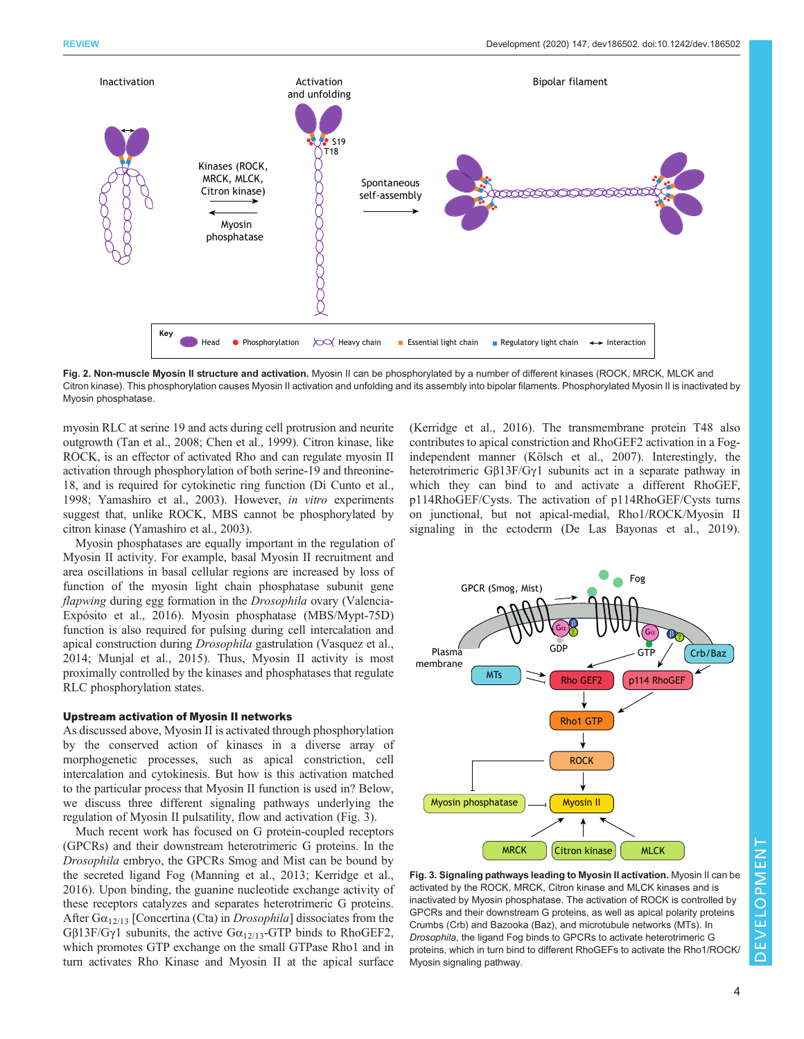<span id="page-3-0"></span>

Fig. 2. Non-muscle Myosin II structure and activation. Myosin II can be phosphorylated by a number of different kinases (ROCK, MRCK, MLCK and Citron kinase). This phosphorylation causes Myosin II activation and unfolding and its assembly into bipolar filaments. Phosphorylated Myosin II is inactivated by Myosin phosphatase.

myosin RLC at serine 19 and acts during cell protrusion and neurite outgrowth [\(Tan et al., 2008;](#page-10-0) [Chen et al., 1999](#page-8-0)). Citron kinase, like ROCK, is an effector of activated Rho and can regulate myosin II activation through phosphorylation of both serine-19 and threonine-18, and is required for cytokinetic ring function [\(Di Cunto et al.,](#page-8-0) [1998;](#page-8-0) [Yamashiro et al., 2003\)](#page-10-0). However, in vitro experiments suggest that, unlike ROCK, MBS cannot be phosphorylated by citron kinase ([Yamashiro et al., 2003\)](#page-10-0).

Myosin phosphatases are equally important in the regulation of Myosin II activity. For example, basal Myosin II recruitment and area oscillations in basal cellular regions are increased by loss of function of the myosin light chain phosphatase subunit gene flapwing during egg formation in the Drosophila ovary ([Valencia-](#page-10-0)[Expósito et al., 2016\)](#page-10-0). Myosin phosphatase (MBS/Mypt-75D) function is also required for pulsing during cell intercalation and apical construction during Drosophila gastrulation [\(Vasquez et al.,](#page-10-0) [2014](#page-10-0); [Munjal et al., 2015\)](#page-9-0). Thus, Myosin II activity is most proximally controlled by the kinases and phosphatases that regulate RLC phosphorylation states.

#### Upstream activation of Myosin II networks

As discussed above, Myosin II is activated through phosphorylation by the conserved action of kinases in a diverse array of morphogenetic processes, such as apical constriction, cell intercalation and cytokinesis. But how is this activation matched to the particular process that Myosin II function is used in? Below, we discuss three different signaling pathways underlying the regulation of Myosin II pulsatility, flow and activation (Fig. 3).

Much recent work has focused on G protein-coupled receptors (GPCRs) and their downstream heterotrimeric G proteins. In the Drosophila embryo, the GPCRs Smog and Mist can be bound by the secreted ligand Fog [\(Manning et al., 2013; Kerridge et al.,](#page-9-0) [2016](#page-9-0)). Upon binding, the guanine nucleotide exchange activity of these receptors catalyzes and separates heterotrimeric G proteins. After  $Ga_{12/13}$  [Concertina (Cta) in *Drosophila*] dissociates from the Gβ13F/Gγ1 subunits, the active  $Ga_{12/13}$ -GTP binds to RhoGEF2, which promotes GTP exchange on the small GTPase Rho1 and in turn activates Rho Kinase and Myosin II at the apical surface

[\(Kerridge et al., 2016](#page-9-0)). The transmembrane protein T48 also contributes to apical constriction and RhoGEF2 activation in a Fogindependent manner [\(Kölsch et al., 2007](#page-9-0)). Interestingly, the heterotrimeric Gβ13F/Gγ1 subunits act in a separate pathway in which they can bind to and activate a different RhoGEF, p114RhoGEF/Cysts. The activation of p114RhoGEF/Cysts turns on junctional, but not apical-medial, Rho1/ROCK/Myosin II signaling in the ectoderm ([De Las Bayonas et al., 2019\)](#page-8-0).



Fig. 3. Signaling pathways leading to Myosin II activation. Myosin II can be activated by the ROCK, MRCK, Citron kinase and MLCK kinases and is inactivated by Myosin phosphatase. The activation of ROCK is controlled by GPCRs and their downstream G proteins, as well as apical polarity proteins Crumbs (Crb) and Bazooka (Baz), and microtubule networks (MTs). In Drosophila, the ligand Fog binds to GPCRs to activate heterotrimeric G proteins, which in turn bind to different RhoGEFs to activate the Rho1/ROCK/ Myosin signaling pathway.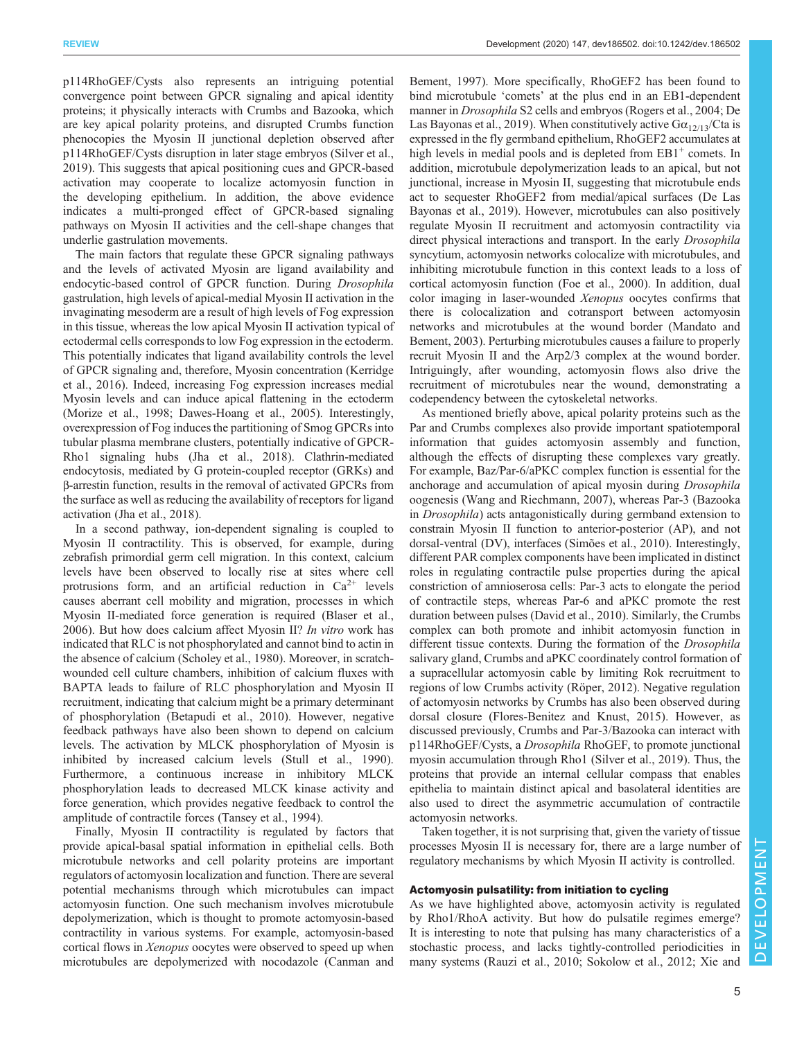p114RhoGEF/Cysts also represents an intriguing potential convergence point between GPCR signaling and apical identity proteins; it physically interacts with Crumbs and Bazooka, which are key apical polarity proteins, and disrupted Crumbs function phenocopies the Myosin II junctional depletion observed after p114RhoGEF/Cysts disruption in later stage embryos ([Silver et al.,](#page-10-0) [2019](#page-10-0)). This suggests that apical positioning cues and GPCR-based activation may cooperate to localize actomyosin function in the developing epithelium. In addition, the above evidence indicates a multi-pronged effect of GPCR-based signaling pathways on Myosin II activities and the cell-shape changes that underlie gastrulation movements.

The main factors that regulate these GPCR signaling pathways and the levels of activated Myosin are ligand availability and endocytic-based control of GPCR function. During Drosophila gastrulation, high levels of apical-medial Myosin II activation in the invaginating mesoderm are a result of high levels of Fog expression in this tissue, whereas the low apical Myosin II activation typical of ectodermal cells corresponds to low Fog expression in the ectoderm. This potentially indicates that ligand availability controls the level of GPCR signaling and, therefore, Myosin concentration ([Kerridge](#page-9-0) [et al., 2016](#page-9-0)). Indeed, increasing Fog expression increases medial Myosin levels and can induce apical flattening in the ectoderm [\(Morize et al., 1998](#page-9-0); [Dawes-Hoang et al., 2005\)](#page-8-0). Interestingly, overexpression of Fog induces the partitioning of Smog GPCRs into tubular plasma membrane clusters, potentially indicative of GPCR-Rho1 signaling hubs ([Jha et al., 2018](#page-9-0)). Clathrin-mediated endocytosis, mediated by G protein-coupled receptor (GRKs) and β-arrestin function, results in the removal of activated GPCRs from the surface as well as reducing the availability of receptors for ligand activation [\(Jha et al., 2018](#page-9-0)).

In a second pathway, ion-dependent signaling is coupled to Myosin II contractility. This is observed, for example, during zebrafish primordial germ cell migration. In this context, calcium levels have been observed to locally rise at sites where cell protrusions form, and an artificial reduction in  $Ca^{2+}$  levels causes aberrant cell mobility and migration, processes in which Myosin II-mediated force generation is required [\(Blaser et al.,](#page-8-0) [2006](#page-8-0)). But how does calcium affect Myosin II? In vitro work has indicated that RLC is not phosphorylated and cannot bind to actin in the absence of calcium ([Scholey et al., 1980](#page-10-0)). Moreover, in scratchwounded cell culture chambers, inhibition of calcium fluxes with BAPTA leads to failure of RLC phosphorylation and Myosin II recruitment, indicating that calcium might be a primary determinant of phosphorylation [\(Betapudi et al., 2010\)](#page-8-0). However, negative feedback pathways have also been shown to depend on calcium levels. The activation by MLCK phosphorylation of Myosin is inhibited by increased calcium levels ([Stull et al., 1990\)](#page-10-0). Furthermore, a continuous increase in inhibitory MLCK phosphorylation leads to decreased MLCK kinase activity and force generation, which provides negative feedback to control the amplitude of contractile forces [\(Tansey et al., 1994\)](#page-10-0).

Finally, Myosin II contractility is regulated by factors that provide apical-basal spatial information in epithelial cells. Both microtubule networks and cell polarity proteins are important regulators of actomyosin localization and function. There are several potential mechanisms through which microtubules can impact actomyosin function. One such mechanism involves microtubule depolymerization, which is thought to promote actomyosin-based contractility in various systems. For example, actomyosin-based cortical flows in Xenopus oocytes were observed to speed up when microtubules are depolymerized with nocodazole [\(Canman and](#page-8-0)

[Bement, 1997\)](#page-8-0). More specifically, RhoGEF2 has been found to bind microtubule 'comets' at the plus end in an EB1-dependent manner in Drosophila S2 cells and embryos [\(Rogers et al., 2004;](#page-9-0) [De](#page-8-0) [Las Bayonas et al., 2019\)](#page-8-0). When constitutively active  $G\alpha_{12/13}/C$ ta is expressed in the fly germband epithelium, RhoGEF2 accumulates at high levels in medial pools and is depleted from  $EB1<sup>+</sup>$  comets. In addition, microtubule depolymerization leads to an apical, but not junctional, increase in Myosin II, suggesting that microtubule ends act to sequester RhoGEF2 from medial/apical surfaces [\(De Las](#page-8-0) [Bayonas et al., 2019](#page-8-0)). However, microtubules can also positively regulate Myosin II recruitment and actomyosin contractility via direct physical interactions and transport. In the early *Drosophila* syncytium, actomyosin networks colocalize with microtubules, and inhibiting microtubule function in this context leads to a loss of cortical actomyosin function [\(Foe et al., 2000](#page-8-0)). In addition, dual color imaging in laser-wounded Xenopus oocytes confirms that there is colocalization and cotransport between actomyosin networks and microtubules at the wound border [\(Mandato and](#page-9-0) [Bement, 2003\)](#page-9-0). Perturbing microtubules causes a failure to properly recruit Myosin II and the Arp2/3 complex at the wound border. Intriguingly, after wounding, actomyosin flows also drive the recruitment of microtubules near the wound, demonstrating a codependency between the cytoskeletal networks.

As mentioned briefly above, apical polarity proteins such as the Par and Crumbs complexes also provide important spatiotemporal information that guides actomyosin assembly and function, although the effects of disrupting these complexes vary greatly. For example, Baz/Par-6/aPKC complex function is essential for the anchorage and accumulation of apical myosin during Drosophila oogenesis [\(Wang and Riechmann, 2007](#page-10-0)), whereas Par-3 (Bazooka in Drosophila) acts antagonistically during germband extension to constrain Myosin II function to anterior-posterior (AP), and not dorsal-ventral (DV), interfaces [\(Simões et al., 2010\)](#page-10-0). Interestingly, different PAR complex components have been implicated in distinct roles in regulating contractile pulse properties during the apical constriction of amnioserosa cells: Par-3 acts to elongate the period of contractile steps, whereas Par-6 and aPKC promote the rest duration between pulses [\(David et al., 2010\)](#page-8-0). Similarly, the Crumbs complex can both promote and inhibit actomyosin function in different tissue contexts. During the formation of the Drosophila salivary gland, Crumbs and aPKC coordinately control formation of a supracellular actomyosin cable by limiting Rok recruitment to regions of low Crumbs activity [\(Röper, 2012](#page-9-0)). Negative regulation of actomyosin networks by Crumbs has also been observed during dorsal closure ([Flores-Benitez and Knust, 2015\)](#page-8-0). However, as discussed previously, Crumbs and Par-3/Bazooka can interact with p114RhoGEF/Cysts, a Drosophila RhoGEF, to promote junctional myosin accumulation through Rho1 [\(Silver et al., 2019](#page-10-0)). Thus, the proteins that provide an internal cellular compass that enables epithelia to maintain distinct apical and basolateral identities are also used to direct the asymmetric accumulation of contractile actomyosin networks.

Taken together, it is not surprising that, given the variety of tissue processes Myosin II is necessary for, there are a large number of regulatory mechanisms by which Myosin II activity is controlled.

### Actomyosin pulsatility: from initiation to cycling

As we have highlighted above, actomyosin activity is regulated by Rho1/RhoA activity. But how do pulsatile regimes emerge? It is interesting to note that pulsing has many characteristics of a stochastic process, and lacks tightly-controlled periodicities in many systems ([Rauzi et al., 2010](#page-9-0); [Sokolow et al., 2012](#page-10-0); [Xie and](#page-10-0)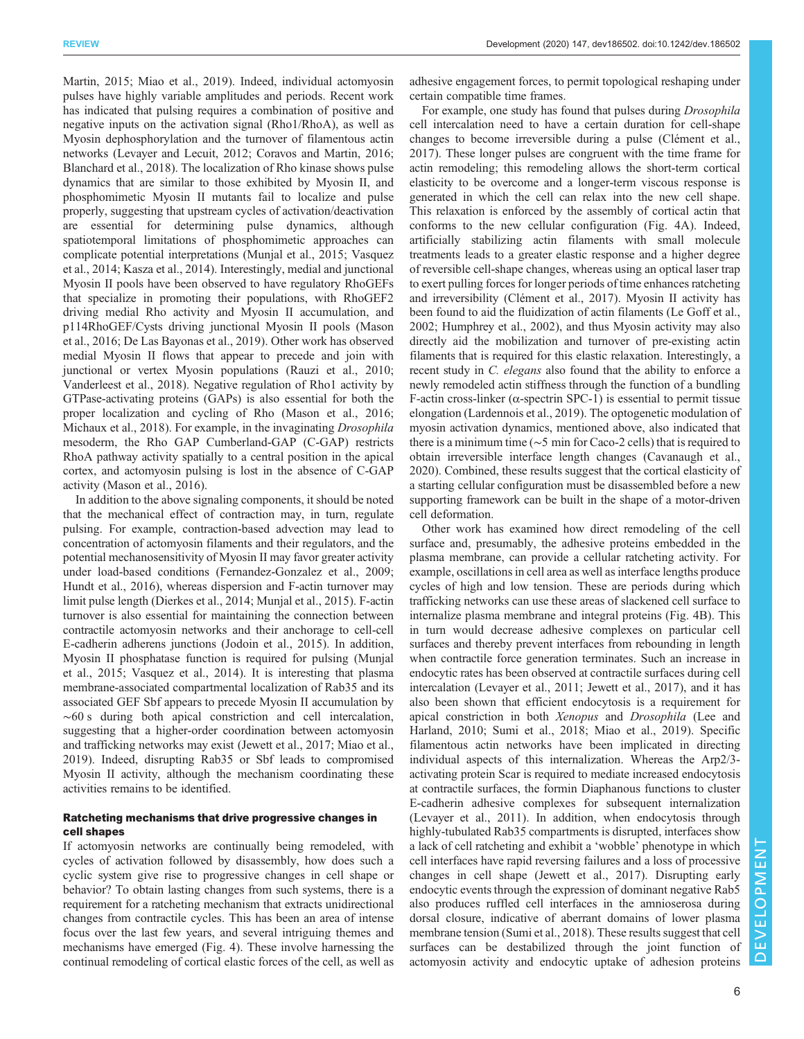[Martin, 2015;](#page-10-0) [Miao et al., 2019\)](#page-9-0). Indeed, individual actomyosin pulses have highly variable amplitudes and periods. Recent work has indicated that pulsing requires a combination of positive and negative inputs on the activation signal (Rho1/RhoA), as well as Myosin dephosphorylation and the turnover of filamentous actin networks [\(Levayer and Lecuit, 2012](#page-9-0); [Coravos and Martin, 2016](#page-8-0); [Blanchard et al., 2018](#page-8-0)). The localization of Rho kinase shows pulse dynamics that are similar to those exhibited by Myosin II, and phosphomimetic Myosin II mutants fail to localize and pulse properly, suggesting that upstream cycles of activation/deactivation are essential for determining pulse dynamics, although spatiotemporal limitations of phosphomimetic approaches can complicate potential interpretations [\(Munjal et al., 2015;](#page-9-0) [Vasquez](#page-10-0) [et al., 2014](#page-10-0); [Kasza et al., 2014](#page-9-0)). Interestingly, medial and junctional Myosin II pools have been observed to have regulatory RhoGEFs that specialize in promoting their populations, with RhoGEF2 driving medial Rho activity and Myosin II accumulation, and p114RhoGEF/Cysts driving junctional Myosin II pools [\(Mason](#page-9-0) [et al., 2016](#page-9-0); [De Las Bayonas et al., 2019\)](#page-8-0). Other work has observed medial Myosin II flows that appear to precede and join with junctional or vertex Myosin populations ([Rauzi et al., 2010](#page-9-0); [Vanderleest et al., 2018\)](#page-10-0). Negative regulation of Rho1 activity by GTPase-activating proteins (GAPs) is also essential for both the proper localization and cycling of Rho ([Mason et al., 2016](#page-9-0); [Michaux et al., 2018\)](#page-9-0). For example, in the invaginating Drosophila mesoderm, the Rho GAP Cumberland-GAP (C-GAP) restricts RhoA pathway activity spatially to a central position in the apical cortex, and actomyosin pulsing is lost in the absence of C-GAP activity ([Mason et al., 2016\)](#page-9-0).

In addition to the above signaling components, it should be noted that the mechanical effect of contraction may, in turn, regulate pulsing. For example, contraction-based advection may lead to concentration of actomyosin filaments and their regulators, and the potential mechanosensitivity of Myosin II may favor greater activity under load-based conditions ([Fernandez-Gonzalez et al., 2009](#page-8-0); [Hundt et al., 2016](#page-9-0)), whereas dispersion and F-actin turnover may limit pulse length [\(Dierkes et al., 2014;](#page-8-0) [Munjal et al., 2015](#page-9-0)). F-actin turnover is also essential for maintaining the connection between contractile actomyosin networks and their anchorage to cell-cell E-cadherin adherens junctions ([Jodoin et al., 2015\)](#page-9-0). In addition, Myosin II phosphatase function is required for pulsing ([Munjal](#page-9-0) [et al., 2015;](#page-9-0) [Vasquez et al., 2014](#page-10-0)). It is interesting that plasma membrane-associated compartmental localization of Rab35 and its associated GEF Sbf appears to precede Myosin II accumulation by ∼60 s during both apical constriction and cell intercalation, suggesting that a higher-order coordination between actomyosin and trafficking networks may exist [\(Jewett et al., 2017](#page-9-0); [Miao et al.,](#page-9-0) [2019](#page-9-0)). Indeed, disrupting Rab35 or Sbf leads to compromised Myosin II activity, although the mechanism coordinating these activities remains to be identified.

## Ratcheting mechanisms that drive progressive changes in cell shapes

If actomyosin networks are continually being remodeled, with cycles of activation followed by disassembly, how does such a cyclic system give rise to progressive changes in cell shape or behavior? To obtain lasting changes from such systems, there is a requirement for a ratcheting mechanism that extracts unidirectional changes from contractile cycles. This has been an area of intense focus over the last few years, and several intriguing themes and mechanisms have emerged ([Fig. 4\)](#page-6-0). These involve harnessing the continual remodeling of cortical elastic forces of the cell, as well as

adhesive engagement forces, to permit topological reshaping under certain compatible time frames.

For example, one study has found that pulses during Drosophila cell intercalation need to have a certain duration for cell-shape changes to become irreversible during a pulse ([Clément et al.,](#page-8-0) [2017\)](#page-8-0). These longer pulses are congruent with the time frame for actin remodeling; this remodeling allows the short-term cortical elasticity to be overcome and a longer-term viscous response is generated in which the cell can relax into the new cell shape. This relaxation is enforced by the assembly of cortical actin that conforms to the new cellular configuration ([Fig. 4A](#page-6-0)). Indeed, artificially stabilizing actin filaments with small molecule treatments leads to a greater elastic response and a higher degree of reversible cell-shape changes, whereas using an optical laser trap to exert pulling forces for longer periods of time enhances ratcheting and irreversibility ([Clément et al., 2017\)](#page-8-0). Myosin II activity has been found to aid the fluidization of actin filaments ([Le Goff et al.,](#page-9-0) [2002; Humphrey et al., 2002\)](#page-9-0), and thus Myosin activity may also directly aid the mobilization and turnover of pre-existing actin filaments that is required for this elastic relaxation. Interestingly, a recent study in C. elegans also found that the ability to enforce a newly remodeled actin stiffness through the function of a bundling F-actin cross-linker ( $\alpha$ -spectrin SPC-1) is essential to permit tissue elongation ([Lardennois et al., 2019\)](#page-9-0). The optogenetic modulation of myosin activation dynamics, mentioned above, also indicated that there is a minimum time (∼5 min for Caco-2 cells) that is required to obtain irreversible interface length changes [\(Cavanaugh et al.,](#page-8-0) [2020\)](#page-8-0). Combined, these results suggest that the cortical elasticity of a starting cellular configuration must be disassembled before a new supporting framework can be built in the shape of a motor-driven cell deformation.

Other work has examined how direct remodeling of the cell surface and, presumably, the adhesive proteins embedded in the plasma membrane, can provide a cellular ratcheting activity. For example, oscillations in cell area as well as interface lengths produce cycles of high and low tension. These are periods during which trafficking networks can use these areas of slackened cell surface to internalize plasma membrane and integral proteins [\(Fig. 4B](#page-6-0)). This in turn would decrease adhesive complexes on particular cell surfaces and thereby prevent interfaces from rebounding in length when contractile force generation terminates. Such an increase in endocytic rates has been observed at contractile surfaces during cell intercalation ([Levayer et al., 2011; Jewett et al., 2017\)](#page-9-0), and it has also been shown that efficient endocytosis is a requirement for apical constriction in both Xenopus and Drosophila [\(Lee and](#page-9-0) [Harland, 2010](#page-9-0); [Sumi et al., 2018;](#page-10-0) [Miao et al., 2019](#page-9-0)). Specific filamentous actin networks have been implicated in directing individual aspects of this internalization. Whereas the Arp2/3 activating protein Scar is required to mediate increased endocytosis at contractile surfaces, the formin Diaphanous functions to cluster E-cadherin adhesive complexes for subsequent internalization [\(Levayer et al., 2011\)](#page-9-0). In addition, when endocytosis through highly-tubulated Rab35 compartments is disrupted, interfaces show a lack of cell ratcheting and exhibit a 'wobble' phenotype in which cell interfaces have rapid reversing failures and a loss of processive changes in cell shape [\(Jewett et al., 2017](#page-9-0)). Disrupting early endocytic events through the expression of dominant negative Rab5 also produces ruffled cell interfaces in the amnioserosa during dorsal closure, indicative of aberrant domains of lower plasma membrane tension [\(Sumi et al., 2018\)](#page-10-0). These results suggest that cell surfaces can be destabilized through the joint function of actomyosin activity and endocytic uptake of adhesion proteins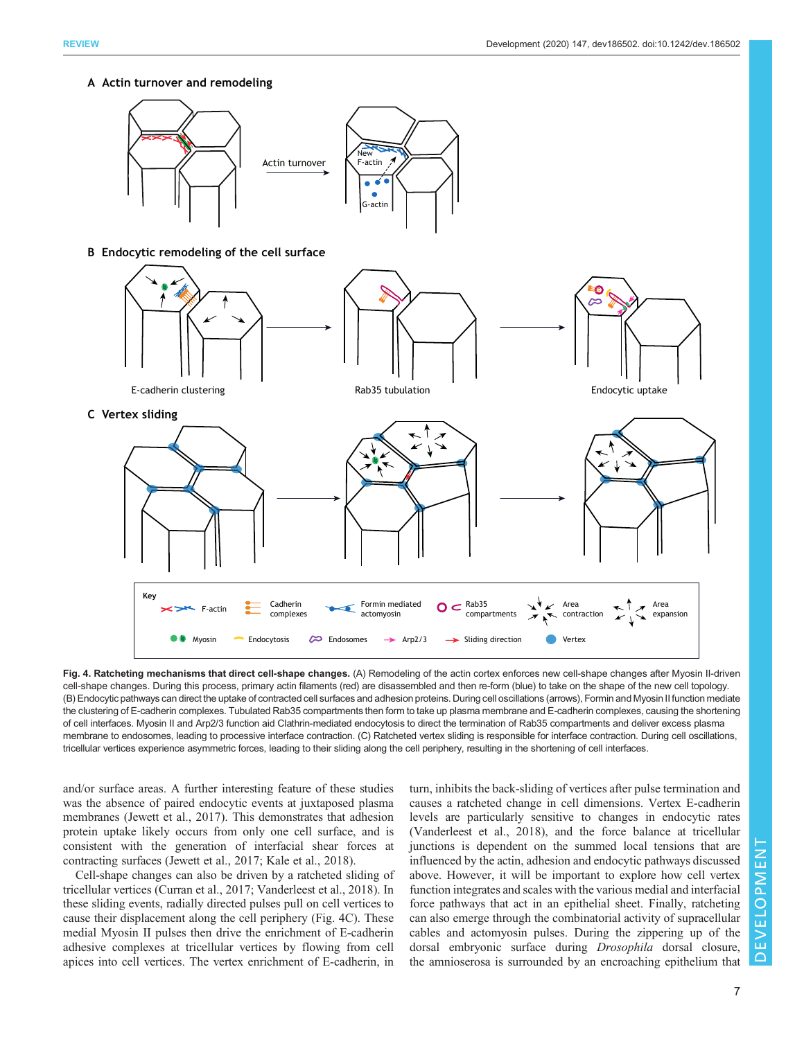<span id="page-6-0"></span>**A Actin turnover and remodeling**



Fig. 4. Ratcheting mechanisms that direct cell-shape changes. (A) Remodeling of the actin cortex enforces new cell-shape changes after Myosin II-driven cell-shape changes. During this process, primary actin filaments (red) are disassembled and then re-form (blue) to take on the shape of the new cell topology. (B) Endocytic pathways can direct the uptake of contracted cell surfaces and adhesion proteins. During cell oscillations (arrows), Formin and Myosin II function mediate the clustering of E-cadherin complexes. Tubulated Rab35 compartments then form to take up plasma membrane and E-cadherin complexes, causing the shortening of cell interfaces. Myosin II and Arp2/3 function aid Clathrin-mediated endocytosis to direct the termination of Rab35 compartments and deliver excess plasma membrane to endosomes, leading to processive interface contraction. (C) Ratcheted vertex sliding is responsible for interface contraction. During cell oscillations, tricellular vertices experience asymmetric forces, leading to their sliding along the cell periphery, resulting in the shortening of cell interfaces.

and/or surface areas. A further interesting feature of these studies was the absence of paired endocytic events at juxtaposed plasma membranes ([Jewett et al., 2017](#page-9-0)). This demonstrates that adhesion protein uptake likely occurs from only one cell surface, and is consistent with the generation of interfacial shear forces at contracting surfaces ([Jewett et al., 2017; Kale et al., 2018\)](#page-9-0).

Cell-shape changes can also be driven by a ratcheted sliding of tricellular vertices ([Curran et al., 2017;](#page-8-0) [Vanderleest et al., 2018](#page-10-0)). In these sliding events, radially directed pulses pull on cell vertices to cause their displacement along the cell periphery (Fig. 4C). These medial Myosin II pulses then drive the enrichment of E-cadherin adhesive complexes at tricellular vertices by flowing from cell apices into cell vertices. The vertex enrichment of E-cadherin, in turn, inhibits the back-sliding of vertices after pulse termination and causes a ratcheted change in cell dimensions. Vertex E-cadherin levels are particularly sensitive to changes in endocytic rates [\(Vanderleest et al., 2018](#page-10-0)), and the force balance at tricellular junctions is dependent on the summed local tensions that are influenced by the actin, adhesion and endocytic pathways discussed above. However, it will be important to explore how cell vertex function integrates and scales with the various medial and interfacial force pathways that act in an epithelial sheet. Finally, ratcheting can also emerge through the combinatorial activity of supracellular cables and actomyosin pulses. During the zippering up of the dorsal embryonic surface during Drosophila dorsal closure, the amnioserosa is surrounded by an encroaching epithelium that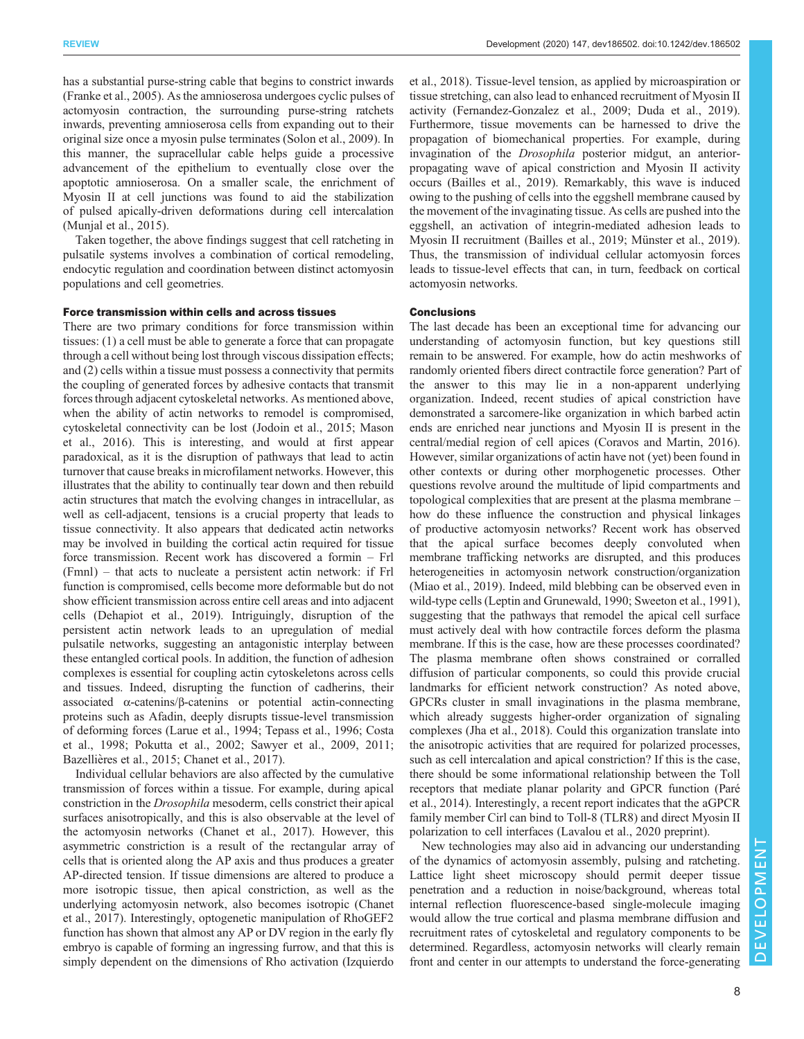has a substantial purse-string cable that begins to constrict inwards [\(Franke et al., 2005\)](#page-8-0). As the amnioserosa undergoes cyclic pulses of actomyosin contraction, the surrounding purse-string ratchets inwards, preventing amnioserosa cells from expanding out to their original size once a myosin pulse terminates ([Solon et al., 2009\)](#page-10-0). In this manner, the supracellular cable helps guide a processive advancement of the epithelium to eventually close over the apoptotic amnioserosa. On a smaller scale, the enrichment of Myosin II at cell junctions was found to aid the stabilization of pulsed apically-driven deformations during cell intercalation [\(Munjal et al., 2015\)](#page-9-0).

Taken together, the above findings suggest that cell ratcheting in pulsatile systems involves a combination of cortical remodeling, endocytic regulation and coordination between distinct actomyosin populations and cell geometries.

## Force transmission within cells and across tissues

There are two primary conditions for force transmission within tissues: (1) a cell must be able to generate a force that can propagate through a cell without being lost through viscous dissipation effects; and (2) cells within a tissue must possess a connectivity that permits the coupling of generated forces by adhesive contacts that transmit forces through adjacent cytoskeletal networks. As mentioned above, when the ability of actin networks to remodel is compromised, cytoskeletal connectivity can be lost [\(Jodoin et al., 2015](#page-9-0); [Mason](#page-9-0) [et al., 2016](#page-9-0)). This is interesting, and would at first appear paradoxical, as it is the disruption of pathways that lead to actin turnover that cause breaks in microfilament networks. However, this illustrates that the ability to continually tear down and then rebuild actin structures that match the evolving changes in intracellular, as well as cell-adjacent, tensions is a crucial property that leads to tissue connectivity. It also appears that dedicated actin networks may be involved in building the cortical actin required for tissue force transmission. Recent work has discovered a formin – Frl (Fmnl) – that acts to nucleate a persistent actin network: if Frl function is compromised, cells become more deformable but do not show efficient transmission across entire cell areas and into adjacent cells [\(Dehapiot et al., 2019\)](#page-8-0). Intriguingly, disruption of the persistent actin network leads to an upregulation of medial pulsatile networks, suggesting an antagonistic interplay between these entangled cortical pools. In addition, the function of adhesion complexes is essential for coupling actin cytoskeletons across cells and tissues. Indeed, disrupting the function of cadherins, their associated α-catenins/β-catenins or potential actin-connecting proteins such as Afadin, deeply disrupts tissue-level transmission of deforming forces [\(Larue et al., 1994;](#page-9-0) [Tepass et al., 1996;](#page-10-0) [Costa](#page-8-0) [et al., 1998](#page-8-0); [Pokutta et al., 2002; Sawyer et al., 2009](#page-9-0), [2011](#page-9-0); Bazellières et al., 2015; Chanet et al., 2017).

Individual cellular behaviors are also affected by the cumulative transmission of forces within a tissue. For example, during apical constriction in the Drosophila mesoderm, cells constrict their apical surfaces anisotropically, and this is also observable at the level of the actomyosin networks [\(Chanet et al., 2017\)](#page-8-0). However, this asymmetric constriction is a result of the rectangular array of cells that is oriented along the AP axis and thus produces a greater AP-directed tension. If tissue dimensions are altered to produce a more isotropic tissue, then apical constriction, as well as the underlying actomyosin network, also becomes isotropic [\(Chanet](#page-8-0) [et al., 2017](#page-8-0)). Interestingly, optogenetic manipulation of RhoGEF2 function has shown that almost any AP or DV region in the early fly embryo is capable of forming an ingressing furrow, and that this is simply dependent on the dimensions of Rho activation ([Izquierdo](#page-9-0)

[et al., 2018](#page-9-0)). Tissue-level tension, as applied by microaspiration or tissue stretching, can also lead to enhanced recruitment of Myosin II activity [\(Fernandez-Gonzalez et al., 2009](#page-8-0); [Duda et al., 2019\)](#page-8-0). Furthermore, tissue movements can be harnessed to drive the propagation of biomechanical properties. For example, during invagination of the Drosophila posterior midgut, an anteriorpropagating wave of apical constriction and Myosin II activity occurs ([Bailles et al., 2019](#page-8-0)). Remarkably, this wave is induced owing to the pushing of cells into the eggshell membrane caused by the movement of the invaginating tissue. As cells are pushed into the eggshell, an activation of integrin-mediated adhesion leads to Myosin II recruitment ([Bailles et al., 2019](#page-8-0); [Münster et al., 2019\)](#page-9-0). Thus, the transmission of individual cellular actomyosin forces leads to tissue-level effects that can, in turn, feedback on cortical actomyosin networks.

#### **Conclusions**

The last decade has been an exceptional time for advancing our understanding of actomyosin function, but key questions still remain to be answered. For example, how do actin meshworks of randomly oriented fibers direct contractile force generation? Part of the answer to this may lie in a non-apparent underlying organization. Indeed, recent studies of apical constriction have demonstrated a sarcomere-like organization in which barbed actin ends are enriched near junctions and Myosin II is present in the central/medial region of cell apices ([Coravos and Martin, 2016\)](#page-8-0). However, similar organizations of actin have not (yet) been found in other contexts or during other morphogenetic processes. Other questions revolve around the multitude of lipid compartments and topological complexities that are present at the plasma membrane – how do these influence the construction and physical linkages of productive actomyosin networks? Recent work has observed that the apical surface becomes deeply convoluted when membrane trafficking networks are disrupted, and this produces heterogeneities in actomyosin network construction/organization [\(Miao et al., 2019\)](#page-9-0). Indeed, mild blebbing can be observed even in wild-type cells [\(Leptin and Grunewald, 1990;](#page-9-0) [Sweeton et al., 1991\)](#page-10-0), suggesting that the pathways that remodel the apical cell surface must actively deal with how contractile forces deform the plasma membrane. If this is the case, how are these processes coordinated? The plasma membrane often shows constrained or corralled diffusion of particular components, so could this provide crucial landmarks for efficient network construction? As noted above, GPCRs cluster in small invaginations in the plasma membrane, which already suggests higher-order organization of signaling complexes ([Jha et al., 2018\)](#page-9-0). Could this organization translate into the anisotropic activities that are required for polarized processes, such as cell intercalation and apical constriction? If this is the case, there should be some informational relationship between the Toll receptors that mediate planar polarity and GPCR function ([Paré](#page-9-0) [et al., 2014\)](#page-9-0). Interestingly, a recent report indicates that the aGPCR family member Cirl can bind to Toll-8 (TLR8) and direct Myosin II polarization to cell interfaces [\(Lavalou et al., 2020](#page-9-0) preprint).

New technologies may also aid in advancing our understanding of the dynamics of actomyosin assembly, pulsing and ratcheting. Lattice light sheet microscopy should permit deeper tissue penetration and a reduction in noise/background, whereas total internal reflection fluorescence-based single-molecule imaging would allow the true cortical and plasma membrane diffusion and recruitment rates of cytoskeletal and regulatory components to be determined. Regardless, actomyosin networks will clearly remain front and center in our attempts to understand the force-generating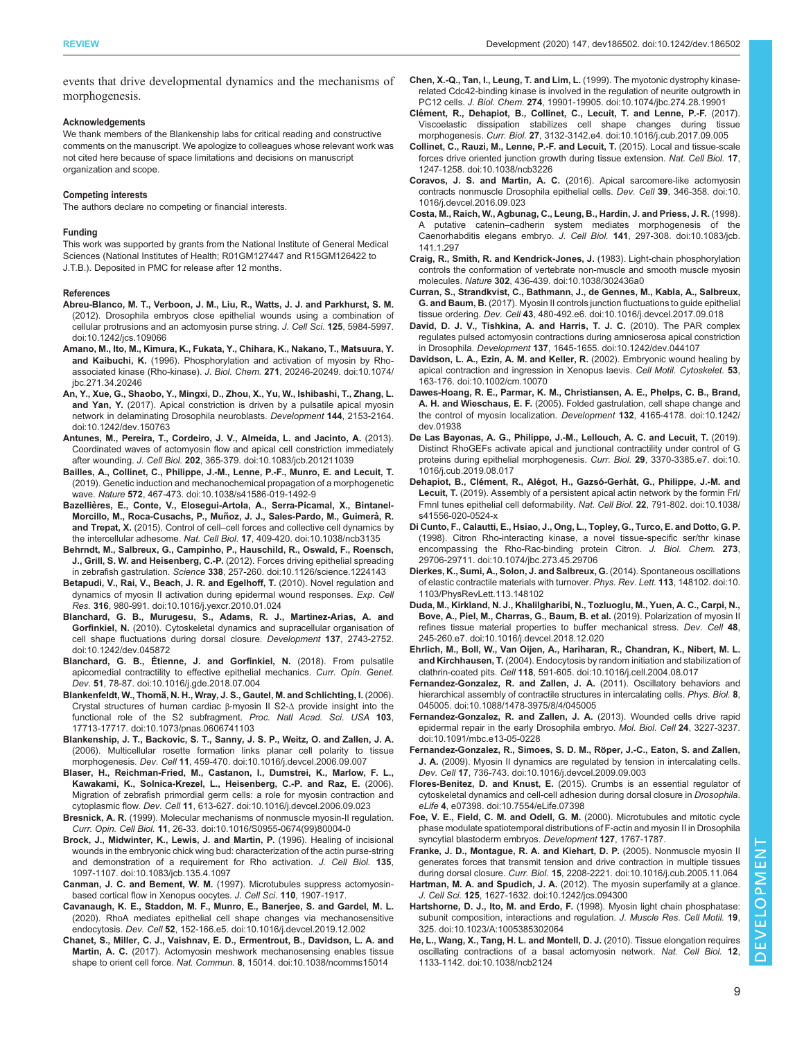<span id="page-8-0"></span>events that drive developmental dynamics and the mechanisms of morphogenesis.

#### Acknowledgements

We thank members of the Blankenship labs for critical reading and constructive comments on the manuscript. We apologize to colleagues whose relevant work was not cited here because of space limitations and decisions on manuscript organization and scope.

#### Competing interests

The authors declare no competing or financial interests.

#### Funding

This work was supported by grants from the National Institute of General Medical Sciences (National Institutes of Health; R01GM127447 and R15GM126422 to J.T.B.). Deposited in PMC for release after 12 months.

#### References

- [Abreu-Blanco, M. T., Verboon, J. M., Liu, R., Watts, J. J. and Parkhurst, S. M.](https://doi.org/10.1242/jcs.109066) [\(2012\). Drosophila embryos close epithelial wounds using a combination of](https://doi.org/10.1242/jcs.109066) [cellular protrusions and an actomyosin purse string.](https://doi.org/10.1242/jcs.109066) J. Cell Sci. 125, 5984-5997. [doi:10.1242/jcs.109066](https://doi.org/10.1242/jcs.109066)
- [Amano, M., Ito, M., Kimura, K., Fukata, Y., Chihara, K., Nakano, T., Matsuura, Y.](https://doi.org/10.1074/jbc.271.34.20246) and Kaibuchi, K. [\(1996\). Phosphorylation and activation of myosin by Rho](https://doi.org/10.1074/jbc.271.34.20246)[associated kinase \(Rho-kinase\).](https://doi.org/10.1074/jbc.271.34.20246) J. Biol. Chem. 271, 20246-20249. doi:10.1074/ [jbc.271.34.20246](https://doi.org/10.1074/jbc.271.34.20246)
- [An, Y., Xue, G., Shaobo, Y., Mingxi, D., Zhou, X., Yu, W., Ishibashi, T., Zhang, L.](https://doi.org/10.1242/dev.150763) and Yan, Y. [\(2017\). Apical constriction is driven by a pulsatile apical myosin](https://doi.org/10.1242/dev.150763) [network in delaminating Drosophila neuroblasts.](https://doi.org/10.1242/dev.150763) Development 144, 2153-2164. [doi:10.1242/dev.150763](https://doi.org/10.1242/dev.150763)
- [Antunes, M., Pereira, T., Cordeiro, J. V., Almeida, L. and Jacinto, A.](https://doi.org/10.1083/jcb.201211039) (2013). [Coordinated waves of actomyosin flow and apical cell constriction immediately](https://doi.org/10.1083/jcb.201211039) after wounding. J. Cell Biol. 202[, 365-379. doi:10.1083/jcb.201211039](https://doi.org/10.1083/jcb.201211039)
- [Bailles, A., Collinet, C., Philippe, J.-M., Lenne, P.-F., Munro, E. and Lecuit, T.](https://doi.org/10.1038/s41586-019-1492-9) [\(2019\). Genetic induction and mechanochemical propagation of a morphogenetic](https://doi.org/10.1038/s41586-019-1492-9) wave. Nature 572[, 467-473. doi:10.1038/s41586-019-1492-9](https://doi.org/10.1038/s41586-019-1492-9)
- Bazellières, E., Conte, V., Elosegui-Artola, A., Serra-Picamal, X., Bintanel-Morcillo, M., Roca-Cusachs, P., Muñoz, J. J., Sales-Pardo, M., Guimerà, R. and Trepat, X. (2015). Control of cell–[cell forces and collective cell dynamics by](https://doi.org/10.1038/ncb3135) the intercellular adhesome. Nat. Cell Biol. 17[, 409-420. doi:10.1038/ncb3135](https://doi.org/10.1038/ncb3135)
- [Behrndt, M., Salbreux, G., Campinho, P., Hauschild, R., Oswald, F., Roensch,](https://doi.org/10.1126/science.1224143) J., Grill, S. W. and Heisenberg, C.-P. [\(2012\). Forces driving epithelial spreading](https://doi.org/10.1126/science.1224143) in zebrafish gastrulation. Science 338, 257-260, doi:10.1126/science.1224143
- [Betapudi, V., Rai, V., Beach, J. R. and Egelhoff, T.](https://doi.org/10.1016/j.yexcr.2010.01.024) (2010). Novel regulation and [dynamics of myosin II activation during epidermal wound responses.](https://doi.org/10.1016/j.yexcr.2010.01.024) Exp. Cell Res. 316[, 980-991. doi:10.1016/j.yexcr.2010.01.024](https://doi.org/10.1016/j.yexcr.2010.01.024)
- [Blanchard, G. B., Murugesu, S., Adams, R. J., Martinez-Arias, A. and](https://doi.org/10.1242/dev.045872) Gorfinkiel, N. [\(2010\). Cytoskeletal dynamics and supracellular organisation of](https://doi.org/10.1242/dev.045872) [cell shape fluctuations during dorsal closure.](https://doi.org/10.1242/dev.045872) Development 137, 2743-2752. [doi:10.1242/dev.045872](https://doi.org/10.1242/dev.045872)
- [Blanchard, G. B., Étienne, J. and Gorfinkiel, N.](https://doi.org/10.1016/j.gde.2018.07.004) (2018). From pulsatile [apicomedial contractility to effective epithelial mechanics.](https://doi.org/10.1016/j.gde.2018.07.004) Curr. Opin. Genet. Dev. 51[, 78-87. doi:10.1016/j.gde.2018.07.004](https://doi.org/10.1016/j.gde.2018.07.004)
- Blankenfeldt, W., Thomä[, N. H., Wray, J. S., Gautel, M. and Schlichting, I.](https://doi.org/10.1073/pnas.0606741103) (2006). [Crystal structures of human cardiac](https://doi.org/10.1073/pnas.0606741103) β-myosin II S2-Δ provide insight into the [functional role of the S2 subfragment.](https://doi.org/10.1073/pnas.0606741103) Proc. Natl Acad. Sci. USA 103, [17713-17717. doi:10.1073/pnas.0606741103](https://doi.org/10.1073/pnas.0606741103)
- [Blankenship, J. T., Backovic, S. T., Sanny, J. S. P., Weitz, O. and Zallen, J. A.](https://doi.org/10.1016/j.devcel.2006.09.007) [\(2006\). Multicellular rosette formation links planar cell polarity to tissue](https://doi.org/10.1016/j.devcel.2006.09.007) morphogenesis. Dev. Cell 11[, 459-470. doi:10.1016/j.devcel.2006.09.007](https://doi.org/10.1016/j.devcel.2006.09.007)
- [Blaser, H., Reichman-Fried, M., Castanon, I., Dumstrei, K., Marlow, F. L.,](https://doi.org/10.1016/j.devcel.2006.09.023) [Kawakami, K., Solnica-Krezel, L., Heisenberg, C.-P. and Raz, E.](https://doi.org/10.1016/j.devcel.2006.09.023) (2006). [Migration of zebrafish primordial germ cells: a role for myosin contraction and](https://doi.org/10.1016/j.devcel.2006.09.023) cytoplasmic flow. Dev. Cell 11[, 613-627. doi:10.1016/j.devcel.2006.09.023](https://doi.org/10.1016/j.devcel.2006.09.023)
- Bresnick, A. R. [\(1999\). Molecular mechanisms of nonmuscle myosin-II regulation.](https://doi.org/10.1016/S0955-0674(99)80004-0) Curr. Opin. Cell Biol. 11[, 26-33. doi:10.1016/S0955-0674\(99\)80004-0](https://doi.org/10.1016/S0955-0674(99)80004-0)
- [Brock, J., Midwinter, K., Lewis, J. and Martin, P.](https://doi.org/10.1083/jcb.135.4.1097) (1996). Healing of incisional [wounds in the embryonic chick wing bud: characterization of the actin purse-string](https://doi.org/10.1083/jcb.135.4.1097) [and demonstration of a requirement for Rho activation.](https://doi.org/10.1083/jcb.135.4.1097) J. Cell Biol. 135, [1097-1107. doi:10.1083/jcb.135.4.1097](https://doi.org/10.1083/jcb.135.4.1097)
- Canman, J. C. and Bement, W. M. (1997). Microtubules suppress actomyosinbased cortical flow in Xenopus oocytes. J. Cell Sci. 110, 1907-1917.
- [Cavanaugh, K. E., Staddon, M. F., Munro, E., Banerjee, S. and Gardel, M. L.](https://doi.org/10.1016/j.devcel.2019.12.002) [\(2020\). RhoA mediates epithelial cell shape changes via mechanosensitive](https://doi.org/10.1016/j.devcel.2019.12.002) endocytosis. Dev. Cell 52[, 152-166.e5. doi:10.1016/j.devcel.2019.12.002](https://doi.org/10.1016/j.devcel.2019.12.002)
- [Chanet, S., Miller, C. J., Vaishnav, E. D., Ermentrout, B., Davidson, L. A. and](https://doi.org/10.1038/ncomms15014) Martin, A. C. [\(2017\). Actomyosin meshwork mechanosensing enables tissue](https://doi.org/10.1038/ncomms15014) shape to orient cell force. Nat. Commun. 8[, 15014. doi:10.1038/ncomms15014](https://doi.org/10.1038/ncomms15014)
- [Chen, X.-Q., Tan, I., Leung, T. and Lim, L.](https://doi.org/10.1074/jbc.274.28.19901) (1999). The myotonic dystrophy kinase[related Cdc42-binding kinase is involved in the regulation of neurite outgrowth in](https://doi.org/10.1074/jbc.274.28.19901) PC12 cells. J. Biol. Chem. 274[, 19901-19905. doi:10.1074/jbc.274.28.19901](https://doi.org/10.1074/jbc.274.28.19901)
- Clé[ment, R., Dehapiot, B., Collinet, C., Lecuit, T. and Lenne, P.-F.](https://doi.org/10.1016/j.cub.2017.09.005) (2017). [Viscoelastic dissipation stabilizes cell shape changes during tissue](https://doi.org/10.1016/j.cub.2017.09.005) morphogenesis. Curr. Biol. 27[, 3132-3142.e4. doi:10.1016/j.cub.2017.09.005](https://doi.org/10.1016/j.cub.2017.09.005)
- [Collinet, C., Rauzi, M., Lenne, P.-F. and Lecuit, T.](https://doi.org/10.1038/ncb3226) (2015). Local and tissue-scale [forces drive oriented junction growth during tissue extension.](https://doi.org/10.1038/ncb3226) Nat. Cell Biol. 17, [1247-1258. doi:10.1038/ncb3226](https://doi.org/10.1038/ncb3226)
- Coravos, J. S. and Martin, A. C. [\(2016\). Apical sarcomere-like actomyosin](https://doi.org/10.1016/j.devcel.2016.09.023) [contracts nonmuscle Drosophila epithelial cells.](https://doi.org/10.1016/j.devcel.2016.09.023) Dev. Cell 39, 346-358. doi:10. [1016/j.devcel.2016.09.023](https://doi.org/10.1016/j.devcel.2016.09.023)
- [Costa, M., Raich, W., Agbunag, C., Leung, B., Hardin, J. and Priess, J. R.](https://doi.org/10.1083/jcb.141.1.297) (1998). A putative catenin–[cadherin system mediates morphogenesis of the](https://doi.org/10.1083/jcb.141.1.297) [Caenorhabditis elegans embryo.](https://doi.org/10.1083/jcb.141.1.297) J. Cell Biol. 141, 297-308. doi:10.1083/jcb. [141.1.297](https://doi.org/10.1083/jcb.141.1.297)
- [Craig, R., Smith, R. and Kendrick-Jones, J.](https://doi.org/10.1038/302436a0) (1983). Light-chain phosphorylation [controls the conformation of vertebrate non-muscle and smooth muscle myosin](https://doi.org/10.1038/302436a0) molecules. Nature 302[, 436-439. doi:10.1038/302436a0](https://doi.org/10.1038/302436a0)
- [Curran, S., Strandkvist, C., Bathmann, J., de Gennes, M., Kabla, A., Salbreux,](https://doi.org/10.1016/j.devcel.2017.09.018) G. and Baum, B. [\(2017\). Myosin II controls junction fluctuations to guide epithelial](https://doi.org/10.1016/j.devcel.2017.09.018) tissue ordering. Dev. Cell 43[, 480-492.e6. doi:10.1016/j.devcel.2017.09.018](https://doi.org/10.1016/j.devcel.2017.09.018)
- [David, D. J. V., Tishkina, A. and Harris, T. J. C.](https://doi.org/10.1242/dev.044107) (2010). The PAR complex [regulates pulsed actomyosin contractions during amnioserosa apical constriction](https://doi.org/10.1242/dev.044107) in Drosophila. Development 137[, 1645-1655. doi:10.1242/dev.044107](https://doi.org/10.1242/dev.044107)
- [Davidson, L. A., Ezin, A. M. and Keller, R.](https://doi.org/10.1002/cm.10070) (2002). Embryonic wound healing by [apical contraction and ingression in Xenopus laevis.](https://doi.org/10.1002/cm.10070) Cell Motil. Cytoskelet. 53, [163-176. doi:10.1002/cm.10070](https://doi.org/10.1002/cm.10070)
- [Dawes-Hoang, R. E., Parmar, K. M., Christiansen, A. E., Phelps, C. B., Brand,](https://doi.org/10.1242/dev.01938) A. H. and Wieschaus, E. F. [\(2005\). Folded gastrulation, cell shape change and](https://doi.org/10.1242/dev.01938) [the control of myosin localization.](https://doi.org/10.1242/dev.01938) Development 132, 4165-4178. doi:10.1242/ [dev.01938](https://doi.org/10.1242/dev.01938)
- [De Las Bayonas, A. G., Philippe, J.-M., Lellouch, A. C. and Lecuit, T.](https://doi.org/10.1016/j.cub.2019.08.017) (2019). [Distinct RhoGEFs activate apical and junctional contractility under control of G](https://doi.org/10.1016/j.cub.2019.08.017) [proteins during epithelial morphogenesis.](https://doi.org/10.1016/j.cub.2019.08.017) Curr. Biol. 29, 3370-3385.e7. doi:10. [1016/j.cub.2019.08.017](https://doi.org/10.1016/j.cub.2019.08.017)
- Dehapiot, B., Clément, R., Alégot, H., Gazsó-Gerhá[t, G., Philippe, J.-M. and](https://doi.org/10.1038/s41556-020-0524-x) Lecuit, T. [\(2019\). Assembly of a persistent apical actin network by the formin Frl/](https://doi.org/10.1038/s41556-020-0524-x) [Fmnl tunes epithelial cell deformability.](https://doi.org/10.1038/s41556-020-0524-x) Nat. Cell Biol. 22, 791-802. doi:10.1038/ [s41556-020-0524-x](https://doi.org/10.1038/s41556-020-0524-x)
- [Di Cunto, F., Calautti, E., Hsiao, J., Ong, L., Topley, G., Turco, E. and Dotto, G. P.](https://doi.org/10.1074/jbc.273.45.29706) [\(1998\). Citron Rho-interacting kinase, a novel tissue-specific ser/thr kinase](https://doi.org/10.1074/jbc.273.45.29706) [encompassing the Rho-Rac-binding protein Citron.](https://doi.org/10.1074/jbc.273.45.29706) J. Biol. Chem. 273, [29706-29711. doi:10.1074/jbc.273.45.29706](https://doi.org/10.1074/jbc.273.45.29706)
- [Dierkes, K., Sumi, A., Solon, J. and Salbreux, G.](https://doi.org/10.1103/PhysRevLett.113.148102) (2014). Spontaneous oscillations [of elastic contractile materials with turnover.](https://doi.org/10.1103/PhysRevLett.113.148102) Phys. Rev. Lett. 113, 148102. doi:10. [1103/PhysRevLett.113.148102](https://doi.org/10.1103/PhysRevLett.113.148102)
- [Duda, M., Kirkland, N. J., Khalilgharibi, N., Tozluoglu, M., Yuen, A. C., Carpi, N.,](https://doi.org/10.1016/j.devcel.2018.12.020) [Bove, A., Piel, M., Charras, G., Baum, B. et al.](https://doi.org/10.1016/j.devcel.2018.12.020) (2019). Polarization of myosin II [refines tissue material properties to buffer mechanical stress.](https://doi.org/10.1016/j.devcel.2018.12.020) Dev. Cell 48, [245-260.e7. doi:10.1016/j.devcel.2018.12.020](https://doi.org/10.1016/j.devcel.2018.12.020)
- [Ehrlich, M., Boll, W., Van Oijen, A., Hariharan, R., Chandran, K., Nibert, M. L.](https://doi.org/10.1016/j.cell.2004.08.017) and Kirchhausen, T. [\(2004\). Endocytosis by random initiation and stabilization of](https://doi.org/10.1016/j.cell.2004.08.017) clathrin-coated pits. Cell 118[, 591-605. doi:10.1016/j.cell.2004.08.017](https://doi.org/10.1016/j.cell.2004.08.017)
- [Fernandez-Gonzalez, R. and Zallen, J. A.](https://doi.org/10.1088/1478-3975/8/4/045005) (2011). Oscillatory behaviors and [hierarchical assembly of contractile structures in intercalating cells.](https://doi.org/10.1088/1478-3975/8/4/045005) Phys. Biol. 8, [045005. doi:10.1088/1478-3975/8/4/045005](https://doi.org/10.1088/1478-3975/8/4/045005)
- [Fernandez-Gonzalez, R. and Zallen, J. A.](https://doi.org/10.1091/mbc.e13-05-0228) (2013). Wounded cells drive rapid [epidermal repair in the early Drosophila embryo.](https://doi.org/10.1091/mbc.e13-05-0228) Mol. Biol. Cell 24, 3227-3237. [doi:10.1091/mbc.e13-05-0228](https://doi.org/10.1091/mbc.e13-05-0228)
- Fernandez-Gonzalez, R., Simoes, S. D. M., Röper, J.-C., Eaton, S. and Zallen, J. A. [\(2009\). Myosin II dynamics are regulated by tension in intercalating cells.](https://doi.org/10.1016/j.devcel.2009.09.003) Dev. Cell 17[, 736-743. doi:10.1016/j.devcel.2009.09.003](https://doi.org/10.1016/j.devcel.2009.09.003)
- Flores-Benitez, D. and Knust, E. [\(2015\). Crumbs is an essential regulator of](https://doi.org/10.7554/eLife.07398) [cytoskeletal dynamics and cell-cell adhesion during dorsal closure in](https://doi.org/10.7554/eLife.07398) Drosophila. eLife 4[, e07398. doi:10.7554/eLife.07398](https://doi.org/10.7554/eLife.07398)
- Foe, V. E., Field, C. M. and Odell, G. M. (2000). Microtubules and mitotic cycle phase modulate spatiotemporal distributions of F-actin and myosin II in Drosophila syncytial blastoderm embryos. Development 127, 1767-1787.

[Franke, J. D., Montague, R. A. and Kiehart, D. P.](https://doi.org/10.1016/j.cub.2005.11.064) (2005). Nonmuscle myosin II [generates forces that transmit tension and drive contraction in multiple tissues](https://doi.org/10.1016/j.cub.2005.11.064) during dorsal closure. Curr. Biol. 15[, 2208-2221. doi:10.1016/j.cub.2005.11.064](https://doi.org/10.1016/j.cub.2005.11.064)

Hartman, M. A. and Spudich, J. A. [\(2012\). The myosin superfamily at a glance.](https://doi.org/10.1242/jcs.094300) J. Cell Sci. 125[, 1627-1632. doi:10.1242/jcs.094300](https://doi.org/10.1242/jcs.094300)

- Hartshorne, D. J., Ito, M. and Erdo, F. [\(1998\). Myosin light chain phosphatase:](https://doi.org/10.1023/A:1005385302064) [subunit composition, interactions and regulation.](https://doi.org/10.1023/A:1005385302064) J. Muscle Res. Cell Motil. 19, [325. doi:10.1023/A:1005385302064](https://doi.org/10.1023/A:1005385302064)
- [He, L., Wang, X., Tang, H. L. and Montell, D. J.](https://doi.org/10.1038/ncb2124) (2010). Tissue elongation requires [oscillating contractions of a basal actomyosin network.](https://doi.org/10.1038/ncb2124) Nat. Cell Biol. 12, [1133-1142. doi:10.1038/ncb2124](https://doi.org/10.1038/ncb2124)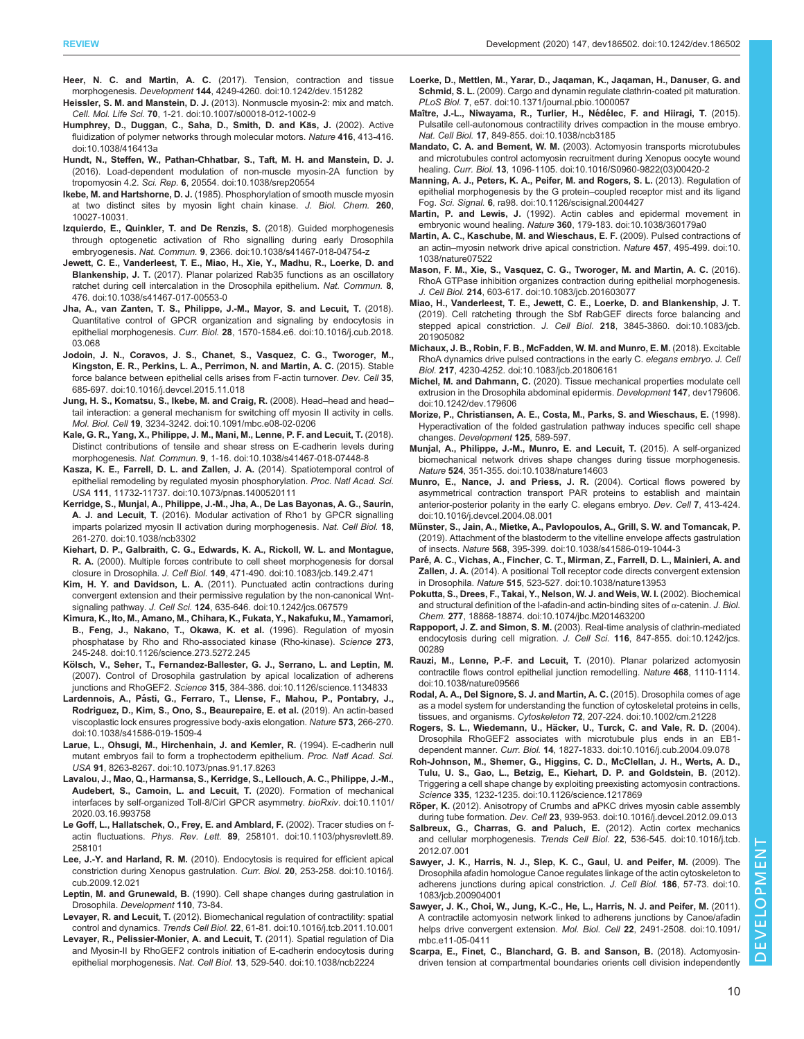- <span id="page-9-0"></span>Heer, N. C. and Martin, A. C. [\(2017\). Tension, contraction and tissue](https://doi.org/10.1242/dev.151282) morphogenesis. Development 144[, 4249-4260. doi:10.1242/dev.151282](https://doi.org/10.1242/dev.151282)
- Heissler, S. M. and Manstein, D. J. [\(2013\). Nonmuscle myosin-2: mix and match.](https://doi.org/10.1007/s00018-012-1002-9) Cell. Mol. Life Sci. 70[, 1-21. doi:10.1007/s00018-012-1002-9](https://doi.org/10.1007/s00018-012-1002-9)
- Humphrey, D., Duggan, C., Saha, D., Smith, D. and Käs, J. (2002). Active [fluidization of polymer networks through molecular motors.](https://doi.org/10.1038/416413a) Nature 416, 413-416. [doi:10.1038/416413a](https://doi.org/10.1038/416413a)
- [Hundt, N., Steffen, W., Pathan-Chhatbar, S., Taft, M. H. and Manstein, D. J.](https://doi.org/10.1038/srep20554) [\(2016\). Load-dependent modulation of non-muscle myosin-2A function by](https://doi.org/10.1038/srep20554) tropomyosin 4.2. Sci. Rep. 6[, 20554. doi:10.1038/srep20554](https://doi.org/10.1038/srep20554)
- Ikebe, M. and Hartshorne, D. J. (1985). Phosphorylation of smooth muscle myosin at two distinct sites by myosin light chain kinase. J. Biol. Chem. 260, 10027-10031.
- [Izquierdo, E., Quinkler, T. and De Renzis, S.](https://doi.org/10.1038/s41467-018-04754-z) (2018). Guided morphogenesis [through optogenetic activation of Rho signalling during early Drosophila](https://doi.org/10.1038/s41467-018-04754-z) embryogenesis. Nat. Commun. 9[, 2366. doi:10.1038/s41467-018-04754-z](https://doi.org/10.1038/s41467-018-04754-z)
- [Jewett, C. E., Vanderleest, T. E., Miao, H., Xie, Y., Madhu, R., Loerke, D. and](https://doi.org/10.1038/s41467-017-00553-0) Blankenship, J. T. [\(2017\). Planar polarized Rab35 functions as an oscillatory](https://doi.org/10.1038/s41467-017-00553-0) [ratchet during cell intercalation in the Drosophila epithelium.](https://doi.org/10.1038/s41467-017-00553-0) Nat. Commun. 8, [476. doi:10.1038/s41467-017-00553-0](https://doi.org/10.1038/s41467-017-00553-0)
- [Jha, A., van Zanten, T. S., Philippe, J.-M., Mayor, S. and Lecuit, T.](https://doi.org/10.1016/j.cub.2018.03.068) (2018). [Quantitative control of GPCR organization and signaling by endocytosis in](https://doi.org/10.1016/j.cub.2018.03.068) epithelial morphogenesis. Curr. Biol. 28[, 1570-1584.e6. doi:10.1016/j.cub.2018.](https://doi.org/10.1016/j.cub.2018.03.068) [03.068](https://doi.org/10.1016/j.cub.2018.03.068)
- [Jodoin, J. N., Coravos, J. S., Chanet, S., Vasquez, C. G., Tworoger, M.,](https://doi.org/10.1016/j.devcel.2015.11.018) [Kingston, E. R., Perkins, L. A., Perrimon, N. and Martin, A. C.](https://doi.org/10.1016/j.devcel.2015.11.018) (2015). Stable [force balance between epithelial cells arises from F-actin turnover.](https://doi.org/10.1016/j.devcel.2015.11.018) Dev. Cell 35, [685-697. doi:10.1016/j.devcel.2015.11.018](https://doi.org/10.1016/j.devcel.2015.11.018)
- [Jung, H. S., Komatsu, S., Ikebe, M. and Craig, R.](https://doi.org/10.1091/mbc.e08-02-0206) (2008). Head–head and head– [tail interaction: a general mechanism for switching off myosin II activity in cells.](https://doi.org/10.1091/mbc.e08-02-0206) Mol. Biol. Cell 19[, 3234-3242. doi:10.1091/mbc.e08-02-0206](https://doi.org/10.1091/mbc.e08-02-0206)
- [Kale, G. R., Yang, X., Philippe, J. M., Mani, M., Lenne, P. F. and Lecuit, T.](http://dx.doi.org/10.1038/s41467-018-07448-8) (2018). [Distinct contributions of tensile and shear stress on E-cadherin levels during](http://dx.doi.org/10.1038/s41467-018-07448-8) morphogenesis. Nat. Commun. 9[, 1-16. doi:10.1038/s41467-018-07448-8](http://dx.doi.org/10.1038/s41467-018-07448-8)
- [Kasza, K. E., Farrell, D. L. and Zallen, J. A.](http://dx.doi.org/10.1073/pnas.1400520111) (2014). Spatiotemporal control of [epithelial remodeling by regulated myosin phosphorylation.](http://dx.doi.org/10.1073/pnas.1400520111) Proc. Natl Acad. Sci. USA 111[, 11732-11737. doi:10.1073/pnas.1400520111](http://dx.doi.org/10.1073/pnas.1400520111)
- [Kerridge, S., Munjal, A., Philippe, J.-M., Jha, A., De Las Bayonas, A. G., Saurin,](https://doi.org/10.1038/ncb3302) A. J. and Lecuit, T. [\(2016\). Modular activation of Rho1 by GPCR signalling](https://doi.org/10.1038/ncb3302) [imparts polarized myosin II activation during morphogenesis.](https://doi.org/10.1038/ncb3302) Nat. Cell Biol. 18, [261-270. doi:10.1038/ncb3302](https://doi.org/10.1038/ncb3302)
- [Kiehart, D. P., Galbraith, C. G., Edwards, K. A., Rickoll, W. L. and Montague,](https://doi.org/10.1083/jcb.149.2.471) R. A. [\(2000\). Multiple forces contribute to cell sheet morphogenesis for dorsal](https://doi.org/10.1083/jcb.149.2.471) closure in Drosophila. J. Cell Biol. 149[, 471-490. doi:10.1083/jcb.149.2.471](https://doi.org/10.1083/jcb.149.2.471)
- Kim, H. Y. and Davidson, L. A. [\(2011\). Punctuated actin contractions during](https://doi.org/10.1242/jcs.067579) [convergent extension and their permissive regulation by the non-canonical Wnt](https://doi.org/10.1242/jcs.067579)signaling pathway. J. Cell Sci. 124[, 635-646. doi:10.1242/jcs.067579](https://doi.org/10.1242/jcs.067579)
- [Kimura, K., Ito, M., Amano, M., Chihara, K., Fukata, Y., Nakafuku, M., Yamamori,](https://doi.org/10.1126/science.273.5272.245) [B., Feng, J., Nakano, T., Okawa, K. et al.](https://doi.org/10.1126/science.273.5272.245) (1996). Regulation of myosin [phosphatase by Rho and Rho-associated kinase \(Rho-kinase\).](https://doi.org/10.1126/science.273.5272.245) Science 273, [245-248. doi:10.1126/science.273.5272.245](https://doi.org/10.1126/science.273.5272.245)
- Kö[lsch, V., Seher, T., Fernandez-Ballester, G. J., Serrano, L. and Leptin, M.](https://doi.org/10.1126/science.1134833) [\(2007\). Control of Drosophila gastrulation by apical localization of adherens](https://doi.org/10.1126/science.1134833) junctions and RhoGEF2. Science 315[, 384-386. doi:10.1126/science.1134833](https://doi.org/10.1126/science.1134833)
- Lardennois, A., Pá[sti, G., Ferraro, T., Llense, F., Mahou, P., Pontabry, J.,](https://doi.org/10.1038/s41586-019-1509-4) [Rodriguez, D., Kim, S., Ono, S., Beaurepaire, E. et al.](https://doi.org/10.1038/s41586-019-1509-4) (2019). An actin-based [viscoplastic lock ensures progressive body-axis elongation.](https://doi.org/10.1038/s41586-019-1509-4) Nature 573, 266-270. [doi:10.1038/s41586-019-1509-4](https://doi.org/10.1038/s41586-019-1509-4)
- [Larue, L., Ohsugi, M., Hirchenhain, J. and Kemler, R.](https://doi.org/10.1073/pnas.91.17.8263) (1994). E-cadherin null [mutant embryos fail to form a trophectoderm epithelium.](https://doi.org/10.1073/pnas.91.17.8263) Proc. Natl Acad. Sci. USA 91[, 8263-8267. doi:10.1073/pnas.91.17.8263](https://doi.org/10.1073/pnas.91.17.8263)
- [Lavalou, J., Mao, Q., Harmansa, S., Kerridge, S., Lellouch, A. C., Philippe, J.-M.,](https://doi.org/10.1101/2020.03.16.993758) [Audebert, S., Camoin, L. and Lecuit, T.](https://doi.org/10.1101/2020.03.16.993758) (2020). Formation of mechanical [interfaces by self-organized Toll-8/Cirl GPCR asymmetry.](https://doi.org/10.1101/2020.03.16.993758) bioRxiv. doi:10.1101/ [2020.03.16.993758](https://doi.org/10.1101/2020.03.16.993758)
- [Le Goff, L., Hallatschek, O., Frey, E. and Amblard, F.](https://doi.org/10.1103/physrevlett.89.258101) (2002). Tracer studies on f-actin fluctuations. Phys. Rev. Lett. 89[, 258101. doi:10.1103/physrevlett.89.](https://doi.org/10.1103/physrevlett.89.258101) [258101](https://doi.org/10.1103/physrevlett.89.258101)
- Lee, J.-Y. and Harland, R. M. [\(2010\). Endocytosis is required for efficient apical](https://doi.org/10.1016/j.cub.2009.12.021) [constriction during Xenopus gastrulation.](https://doi.org/10.1016/j.cub.2009.12.021) Curr. Biol. 20, 253-258. doi:10.1016/j. [cub.2009.12.021](https://doi.org/10.1016/j.cub.2009.12.021)
- Leptin, M. and Grunewald, B. (1990). Cell shape changes during gastrulation in Drosophila. Development 110, 73-84.
- Levayer, R. and Lecuit, T. [\(2012\). Biomechanical regulation of contractility: spatial](https://doi.org/10.1016/j.tcb.2011.10.001) control and dynamics. Trends Cell Biol. 22[, 61-81. doi:10.1016/j.tcb.2011.10.001](https://doi.org/10.1016/j.tcb.2011.10.001)
- [Levayer, R., Pelissier-Monier, A. and Lecuit, T.](https://doi.org/10.1038/ncb2224) (2011). Spatial regulation of Dia [and Myosin-II by RhoGEF2 controls initiation of E-cadherin endocytosis during](https://doi.org/10.1038/ncb2224) epithelial morphogenesis. Nat. Cell Biol. 13[, 529-540. doi:10.1038/ncb2224](https://doi.org/10.1038/ncb2224)
- [Loerke, D., Mettlen, M., Yarar, D., Jaqaman, K., Jaqaman, H., Danuser, G. and](https://doi.org/10.1371/journal.pbio.1000057) Schmid, S. L. [\(2009\). Cargo and dynamin regulate clathrin-coated pit maturation.](https://doi.org/10.1371/journal.pbio.1000057) PLoS Biol. 7[, e57. doi:10.1371/journal.pbio.1000057](https://doi.org/10.1371/journal.pbio.1000057)
- Maître, J.-L., Niwayama, R., Turlier, H., Nédélec, F. and Hiiragi, T. (2015). [Pulsatile cell-autonomous contractility drives compaction in the mouse embryo.](https://doi.org/10.1038/ncb3185) Nat. Cell Biol. 17[, 849-855. doi:10.1038/ncb3185](https://doi.org/10.1038/ncb3185)
- Mandato, C. A. and Bement, W. M. [\(2003\). Actomyosin transports microtubules](https://doi.org/10.1016/S0960-9822(03)00420-2) [and microtubules control actomyosin recruitment during Xenopus oocyte wound](https://doi.org/10.1016/S0960-9822(03)00420-2) healing. Curr. Biol. 13[, 1096-1105. doi:10.1016/S0960-9822\(03\)00420-2](https://doi.org/10.1016/S0960-9822(03)00420-2)
- [Manning, A. J., Peters, K. A., Peifer, M. and Rogers, S. L.](https://doi.org/10.1126/scisignal.2004427) (2013). Regulation of [epithelial morphogenesis by the G protein](https://doi.org/10.1126/scisignal.2004427)–coupled receptor mist and its ligand Fog. Sci. Signal. 6[, ra98. doi:10.1126/scisignal.2004427](https://doi.org/10.1126/scisignal.2004427)
- Martin, P. and Lewis, J. [\(1992\). Actin cables and epidermal movement in](https://doi.org/10.1038/360179a0) embryonic wound healing. Nature 360[, 179-183. doi:10.1038/360179a0](https://doi.org/10.1038/360179a0)
- [Martin, A. C., Kaschube, M. and Wieschaus, E. F.](https://doi.org/10.1038/nature07522) (2009). Pulsed contractions of an actin–[myosin network drive apical constriction.](https://doi.org/10.1038/nature07522) Nature 457, 495-499. doi:10. [1038/nature07522](https://doi.org/10.1038/nature07522)
- [Mason, F. M., Xie, S., Vasquez, C. G., Tworoger, M. and Martin, A. C.](https://doi.org/10.1083/jcb.201603077) (2016). [RhoA GTPase inhibition organizes contraction during epithelial morphogenesis.](https://doi.org/10.1083/jcb.201603077) J. Cell Biol. 214[, 603-617. doi:10.1083/jcb.201603077](https://doi.org/10.1083/jcb.201603077)
- [Miao, H., Vanderleest, T. E., Jewett, C. E., Loerke, D. and Blankenship, J. T.](https://doi.org/10.1083/jcb.201905082) [\(2019\). Cell ratcheting through the Sbf RabGEF directs force balancing and](https://doi.org/10.1083/jcb.201905082) stepped apical constriction. J. Cell Biol. 218[, 3845-3860. doi:10.1083/jcb.](https://doi.org/10.1083/jcb.201905082) [201905082](https://doi.org/10.1083/jcb.201905082)
- [Michaux, J. B., Robin, F. B., McFadden, W. M. and Munro, E. M.](https://doi.org/10.1083/jcb.201806161) (2018). Excitable [RhoA dynamics drive pulsed contractions in the early C.](https://doi.org/10.1083/jcb.201806161) elegans embryo. J. Cell Biol. 217[, 4230-4252. doi:10.1083/jcb.201806161](https://doi.org/10.1083/jcb.201806161)
- Michel, M. and Dahmann, C. [\(2020\). Tissue mechanical properties modulate cell](https://doi.org/10.1242/dev.179606) [extrusion in the Drosophila abdominal epidermis.](https://doi.org/10.1242/dev.179606) Development 147, dev179606. [doi:10.1242/dev.179606](https://doi.org/10.1242/dev.179606)
- Morize, P., Christiansen, A. E., Costa, M., Parks, S. and Wieschaus, E. (1998). Hyperactivation of the folded gastrulation pathway induces specific cell shape changes. Development 125, 589-597.
- [Munjal, A., Philippe, J.-M., Munro, E. and Lecuit, T.](https://doi.org/10.1038/nature14603) (2015). A self-organized [biomechanical network drives shape changes during tissue morphogenesis.](https://doi.org/10.1038/nature14603) Nature 524[, 351-355. doi:10.1038/nature14603](https://doi.org/10.1038/nature14603)
- [Munro, E., Nance, J. and Priess, J. R.](https://doi.org/10.1016/j.devcel.2004.08.001) (2004). Cortical flows powered by [asymmetrical contraction transport PAR proteins to establish and maintain](https://doi.org/10.1016/j.devcel.2004.08.001) [anterior-posterior polarity in the early C. elegans embryo.](https://doi.org/10.1016/j.devcel.2004.08.001) Dev. Cell 7, 413-424. [doi:10.1016/j.devcel.2004.08.001](https://doi.org/10.1016/j.devcel.2004.08.001)
- Mü[nster, S., Jain, A., Mietke, A., Pavlopoulos, A., Grill, S. W. and Tomancak, P.](https://doi.org/10.1038/s41586-019-1044-3) [\(2019\). Attachment of the blastoderm to the vitelline envelope affects gastrulation](https://doi.org/10.1038/s41586-019-1044-3) of insects. Nature 568[, 395-399. doi:10.1038/s41586-019-1044-3](https://doi.org/10.1038/s41586-019-1044-3)
- Paré[, A. C., Vichas, A., Fincher, C. T., Mirman, Z., Farrell, D. L., Mainieri, A. and](http://dx.doi.org/10.1038/nature13953) Zallen, J. A. [\(2014\). A positional Toll receptor code directs convergent extension](http://dx.doi.org/10.1038/nature13953) in Drosophila. Nature 515[, 523-527. doi:10.1038/nature13953](http://dx.doi.org/10.1038/nature13953)
- [Pokutta, S., Drees, F., Takai, Y., Nelson, W. J. and Weis, W. I.](https://doi.org/10.1074/jbc.M201463200) (2002). Biochemical [and structural definition of the l-afadin-and actin-binding sites of](https://doi.org/10.1074/jbc.M201463200)  $\alpha$ -catenin. J. Biol. Chem. 277[, 18868-18874. doi:10.1074/jbc.M201463200](https://doi.org/10.1074/jbc.M201463200)
- Rappoport, J. Z. and Simon, S. M. [\(2003\). Real-time analysis of clathrin-mediated](https://doi.org/10.1242/jcs.00289) [endocytosis during cell migration.](https://doi.org/10.1242/jcs.00289) J. Cell Sci. 116, 847-855. doi:10.1242/jcs. [00289](https://doi.org/10.1242/jcs.00289)
- [Rauzi, M., Lenne, P.-F. and Lecuit, T.](https://doi.org/10.1038/nature09566) (2010). Planar polarized actomyosin [contractile flows control epithelial junction remodelling.](https://doi.org/10.1038/nature09566) Nature 468, 1110-1114. [doi:10.1038/nature09566](https://doi.org/10.1038/nature09566)
- [Rodal, A. A., Del Signore, S. J. and Martin, A. C.](https://doi.org/10.1002/cm.21228) (2015). Drosophila comes of age [as a model system for understanding the function of cytoskeletal proteins in cells,](https://doi.org/10.1002/cm.21228) tissues, and organisms. Cytoskeleton 72[, 207-224. doi:10.1002/cm.21228](https://doi.org/10.1002/cm.21228)
- Rogers, S. L., Wiedemann, U., Hä[cker, U., Turck, C. and Vale, R. D.](https://doi.org/10.1016/j.cub.2004.09.078) (2004). [Drosophila RhoGEF2 associates with microtubule plus ends in an EB1](https://doi.org/10.1016/j.cub.2004.09.078) dependent manner. Curr. Biol. 14[, 1827-1833. doi:10.1016/j.cub.2004.09.078](https://doi.org/10.1016/j.cub.2004.09.078)
- [Roh-Johnson, M., Shemer, G., Higgins, C. D., McClellan, J. H., Werts, A. D.,](https://doi.org/10.1126/science.1217869) [Tulu, U. S., Gao, L., Betzig, E., Kiehart, D. P. and Goldstein, B.](https://doi.org/10.1126/science.1217869) (2012). [Triggering a cell shape change by exploiting preexisting actomyosin contractions.](https://doi.org/10.1126/science.1217869) Science 335[, 1232-1235. doi:10.1126/science.1217869](https://doi.org/10.1126/science.1217869)
- Röper, K. [\(2012\). Anisotropy of Crumbs and aPKC drives myosin cable assembly](https://doi.org/10.1016/j.devcel.2012.09.013) during tube formation. Dev. Cell 23[, 939-953. doi:10.1016/j.devcel.2012.09.013](https://doi.org/10.1016/j.devcel.2012.09.013)
- [Salbreux, G., Charras, G. and Paluch, E.](https://doi.org/10.1016/j.tcb.2012.07.001) (2012). Actin cortex mechanics [and cellular morphogenesis.](https://doi.org/10.1016/j.tcb.2012.07.001) Trends Cell Biol. 22, 536-545. doi:10.1016/j.tcb. [2012.07.001](https://doi.org/10.1016/j.tcb.2012.07.001)
- [Sawyer, J. K., Harris, N. J., Slep, K. C., Gaul, U. and Peifer, M.](https://doi.org/10.1083/jcb.200904001) (2009). The [Drosophila afadin homologue Canoe regulates linkage of the actin cytoskeleton to](https://doi.org/10.1083/jcb.200904001) [adherens junctions during apical constriction.](https://doi.org/10.1083/jcb.200904001) J. Cell Biol. 186, 57-73. doi:10. [1083/jcb.200904001](https://doi.org/10.1083/jcb.200904001)
- [Sawyer, J. K., Choi, W., Jung, K.-C., He, L., Harris, N. J. and Peifer, M.](https://doi.org/10.1091/mbc.e11-05-0411) (2011). [A contractile actomyosin network linked to adherens junctions by Canoe/afadin](https://doi.org/10.1091/mbc.e11-05-0411) [helps drive convergent extension.](https://doi.org/10.1091/mbc.e11-05-0411) Mol. Biol. Cell 22, 2491-2508. doi:10.1091/ [mbc.e11-05-0411](https://doi.org/10.1091/mbc.e11-05-0411)
- [Scarpa, E., Finet, C., Blanchard, G. B. and Sanson, B.](https://doi.org/10.1016/j.devcel.2018.10.029) (2018). Actomyosin[driven tension at compartmental boundaries orients cell division independently](https://doi.org/10.1016/j.devcel.2018.10.029)